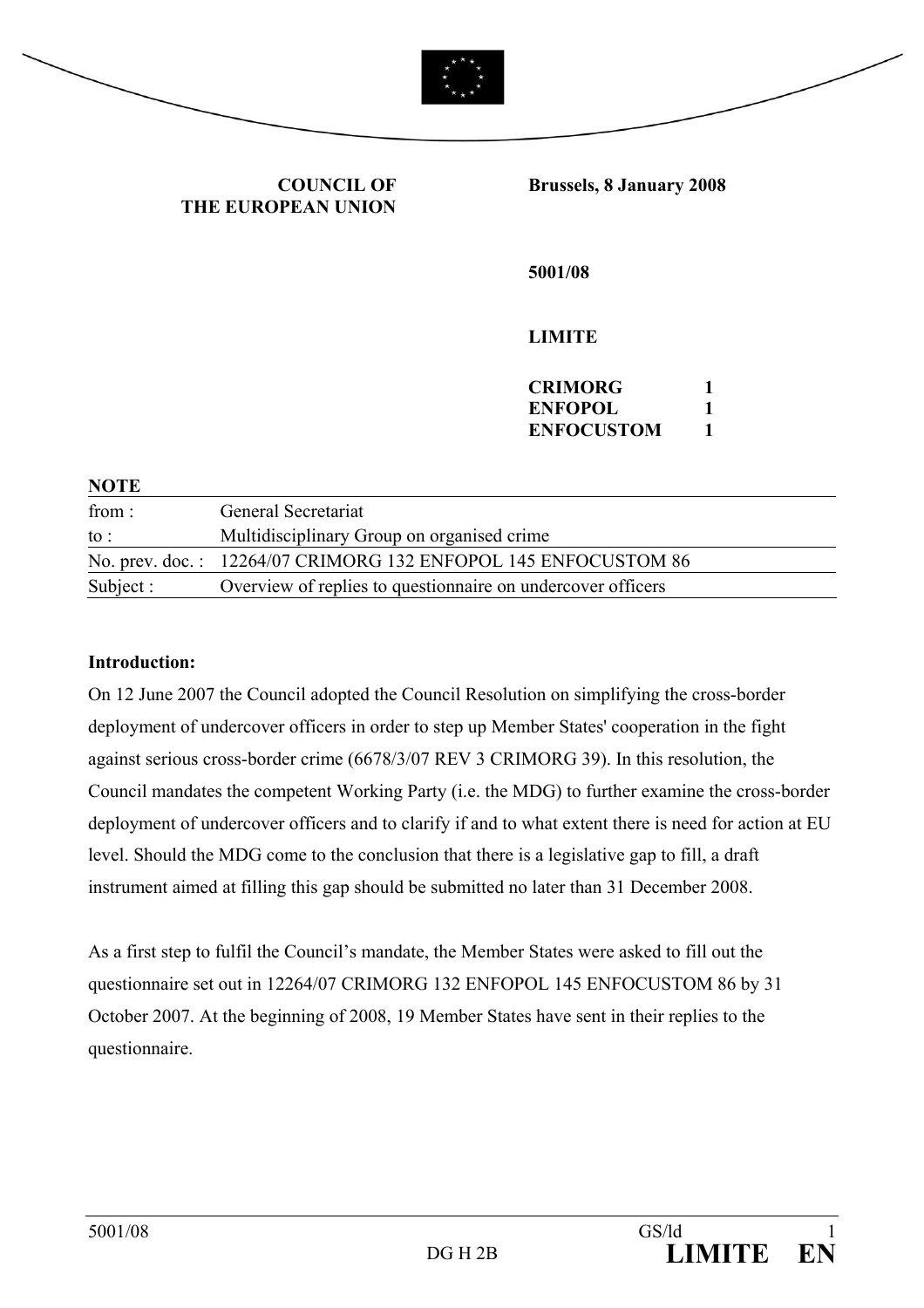

**COUNCIL OF THE EUROPEAN UNION** **Brussels, 8 January 2008** 

**5001/08** 

**LIMITE** 

| <b>CRIMORG</b>    |  |
|-------------------|--|
| <b>ENFOPOL</b>    |  |
| <b>ENFOCUSTOM</b> |  |

| <b>NOTE</b> |                                                                |
|-------------|----------------------------------------------------------------|
| from :      | General Secretariat                                            |
| to :        | Multidisciplinary Group on organised crime                     |
|             | No. prev. doc.: 12264/07 CRIMORG 132 ENFOPOL 145 ENFOCUSTOM 86 |
| Subject :   | Overview of replies to question aire on undercover officers    |

#### **Introduction:**

On 12 June 2007 the Council adopted the Council Resolution on simplifying the cross-border deployment of undercover officers in order to step up Member States' cooperation in the fight against serious cross-border crime (6678/3/07 REV 3 CRIMORG 39). In this resolution, the Council mandates the competent Working Party (i.e. the MDG) to further examine the cross-border deployment of undercover officers and to clarify if and to what extent there is need for action at EU level. Should the MDG come to the conclusion that there is a legislative gap to fill, a draft instrument aimed at filling this gap should be submitted no later than 31 December 2008.

As a first step to fulfil the Council's mandate, the Member States were asked to fill out the questionnaire set out in 12264/07 CRIMORG 132 ENFOPOL 145 ENFOCUSTOM 86 by 31 October 2007. At the beginning of 2008, 19 Member States have sent in their replies to the questionnaire.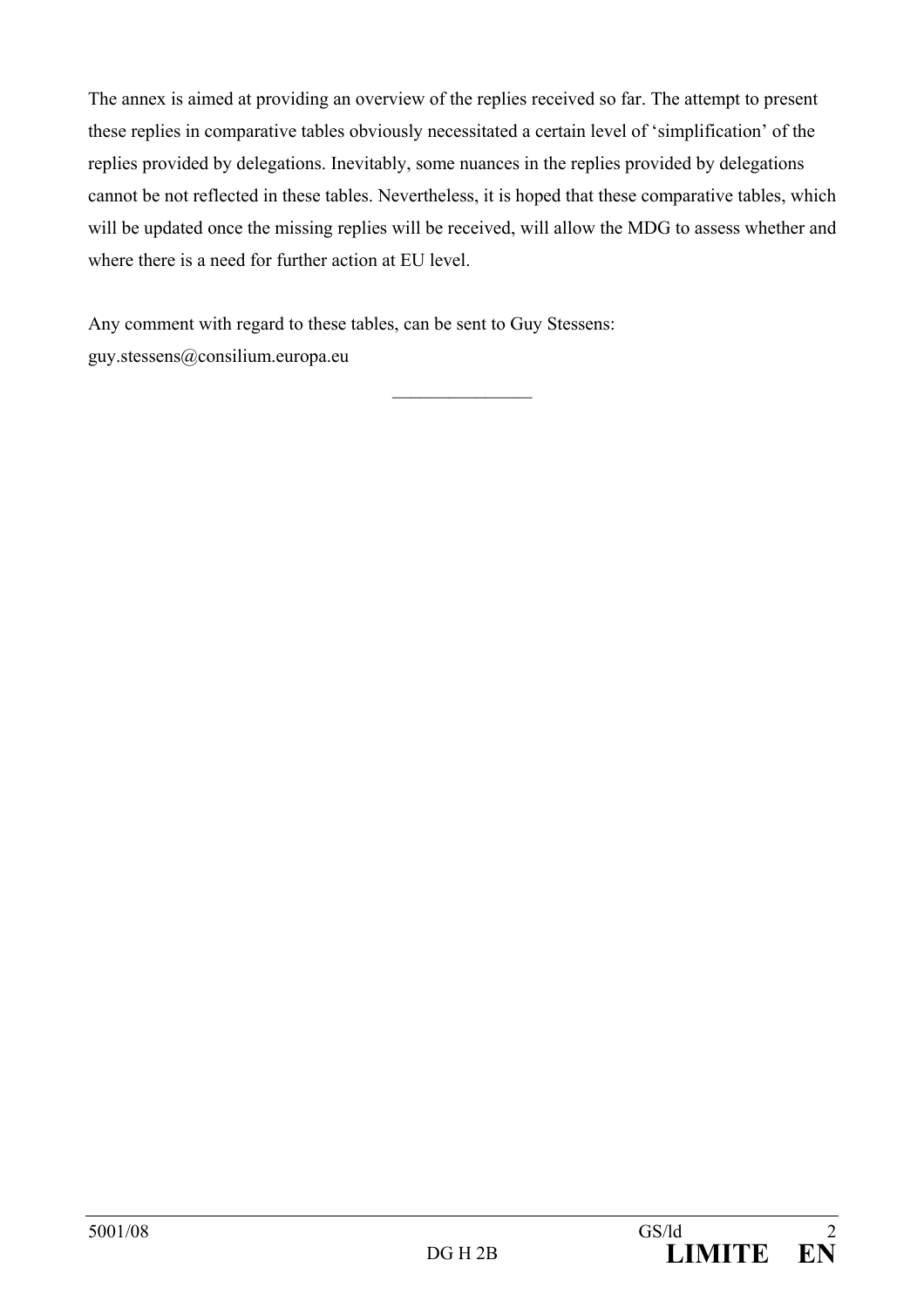The annex is aimed at providing an overview of the replies received so far. The attempt to present these replies in comparative tables obviously necessitated a certain level of 'simplification' of the replies provided by delegations. Inevitably, some nuances in the replies provided by delegations cannot be not reflected in these tables. Nevertheless, it is hoped that these comparative tables, which will be updated once the missing replies will be received, will allow the MDG to assess whether and where there is a need for further action at EU level.

 $\mathcal{L}_\text{max}$ 

Any comment with regard to these tables, can be sent to Guy Stessens: guy.stessens@consilium.europa.eu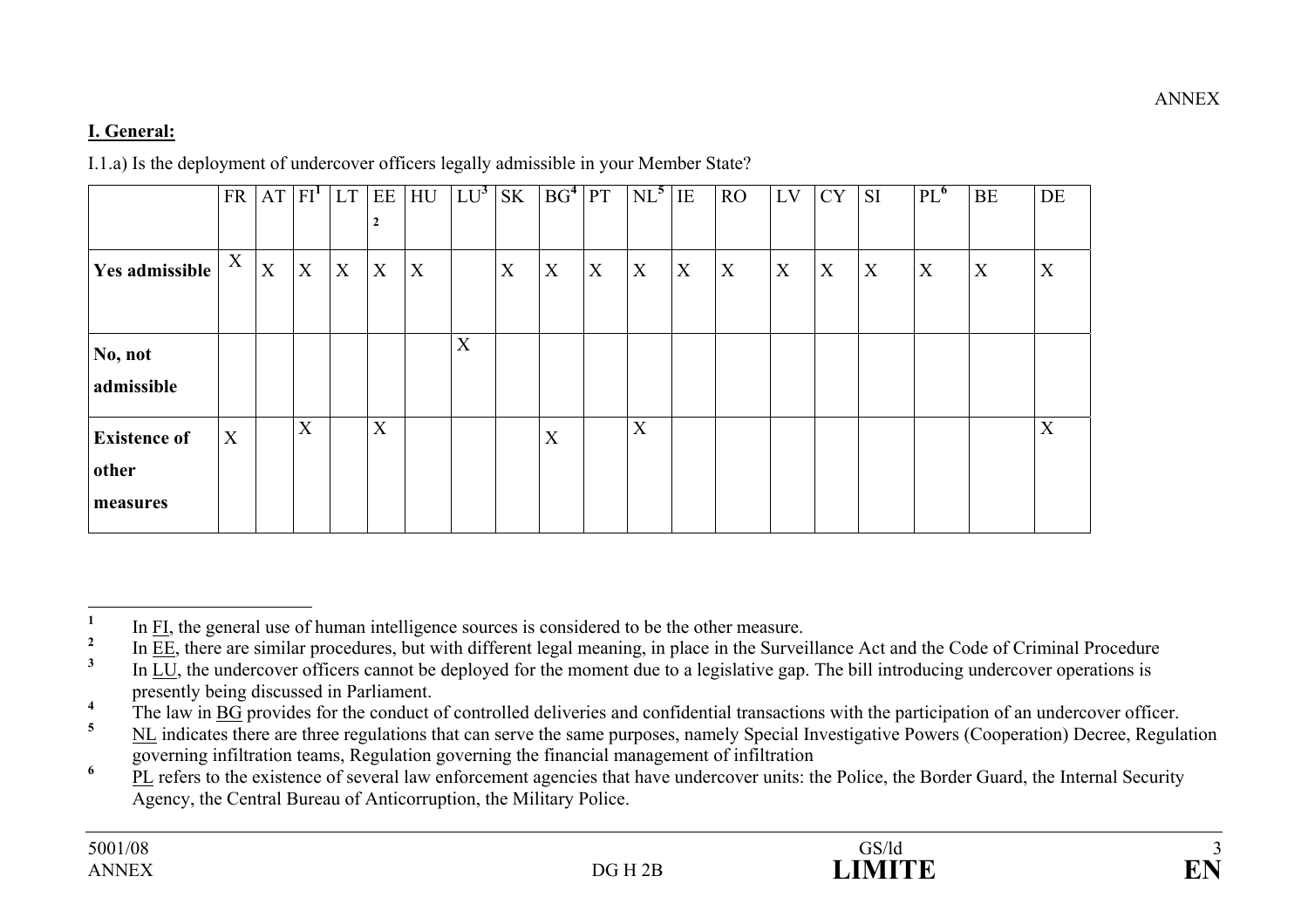# **I. General:**

I.1.a) Is the deployment of undercover officers legally admissible in your Member State?

|                                          | <b>FR</b> |   | $AT$ $FIT$ | LT | EE<br>2 | HU               | $LU^3$ | <b>SK</b> | BG <sup>4</sup> | <b>PT</b> | $NL^5$ | IE | RO           | LV | <b>CY</b> | <b>SI</b> | $PL^{\bullet}$ | BE | DE |
|------------------------------------------|-----------|---|------------|----|---------|------------------|--------|-----------|-----------------|-----------|--------|----|--------------|----|-----------|-----------|----------------|----|----|
| Yes admissible                           | X         | X | X          | X  | X       | $\boldsymbol{X}$ |        | X         | X               | X         | X      | X  | $\mathbf{X}$ | X  | X         | X         | X              | X  | X  |
| No, not<br>admissible                    |           |   |            |    |         |                  | X      |           |                 |           |        |    |              |    |           |           |                |    |    |
| <b>Existence of</b><br>other<br>measures | X         |   | X          |    | X       |                  |        |           | X               |           | X      |    |              |    |           |           |                |    | X  |

 $\frac{1}{2}$  In FI, the general use of human intelligence sources is considered to be the other measure.

 $\frac{2}{3}$  In <u>EE</u>, there are similar procedures, but with different legal meaning, in place in the Surveillance Act and the Code of Criminal Procedure

**<sup>3</sup>** In LU, the undercover officers cannot be deployed for the moment due to a legislative gap. The bill introducing undercover operations is presently being discussed in Parliament.

<sup>&</sup>lt;sup>4</sup> The law in  $\underline{BG}$  provides for the conduct of controlled deliveries and confidential transactions with the participation of an undercover officer.

**<sup>5</sup>** NL indicates there are three regulations that can serve the same purposes, namely Special Investigative Powers (Cooperation) Decree, Regulation governing infiltration teams, Regulation governing the financial management of infiltration

<sup>&</sup>lt;sup>6</sup> PL refers to the existence of several law enforcement agencies that have undercover units: the Police, the Border Guard, the Internal Security Agency, the Central Bureau of Anticorruption, the Military Police.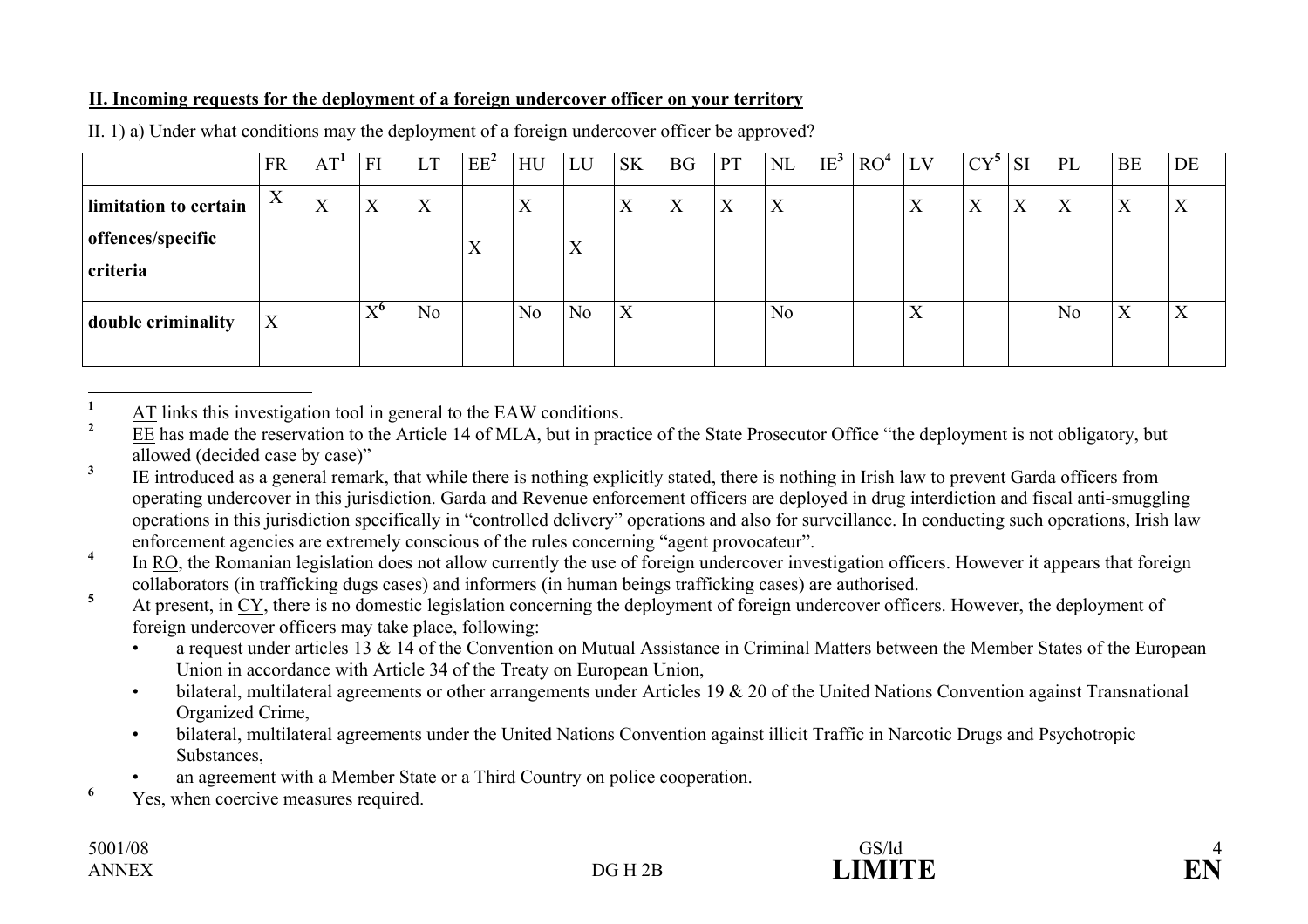### **II. Incoming requests for the deployment of a foreign undercover officer on your territory**

|                                                        | <b>FR</b>                | AT <sup>T</sup>           | FI                             | LT             | $EE^2$                    | HU               | LU                | <b>SK</b>         | <b>BG</b> | <b>PT</b>                 | <b>NL</b> | $IE^{\mathcal{I}}$ | RO <sup>4</sup> | LV | $CY^5$ | <b>SI</b> | PL             | <b>BE</b>                 | DE |
|--------------------------------------------------------|--------------------------|---------------------------|--------------------------------|----------------|---------------------------|------------------|-------------------|-------------------|-----------|---------------------------|-----------|--------------------|-----------------|----|--------|-----------|----------------|---------------------------|----|
| limitation to certain<br>offences/specific<br>criteria | $\mathbf v$<br>$\Lambda$ | $\mathbf{x}$<br>$\Lambda$ | X                              | X              | $\mathbf{x}$<br>$\Lambda$ | $\boldsymbol{X}$ | $\mathbf{v}$<br>A | $\mathbf{v}$<br>Λ | X         | $\mathbf{x}$<br>$\Lambda$ | X         |                    |                 | X  | X      | X         | X              | $\mathbf{v}$<br>л         | X  |
| double criminality                                     | X                        |                           | $\mathbf{V}^{\mathbf{0}}$<br>л | N <sub>0</sub> |                           | N <sub>o</sub>   | No                | X                 |           |                           | No        |                    |                 | X  |        |           | N <sub>0</sub> | $\mathbf{v}$<br>$\Lambda$ | X  |

II. 1) a) Under what conditions may the deployment of a foreign undercover officer be approved?

 $\frac{1}{2}$  AT links this investigation tool in general to the EAW conditions.

**<sup>2</sup>** EE has made the reservation to the Article 14 of MLA, but in practice of the State Prosecutor Office "the deployment is not obligatory, but allowed (decided case by case)"

<sup>3</sup> IE introduced as a general remark, that while there is nothing explicitly stated, there is nothing in Irish law to prevent Garda officers from operating undercover in this jurisdiction. Garda and Revenue enforcement officers are deployed in drug interdiction and fiscal anti-smuggling operations in this jurisdiction specifically in "controlled delivery" operations and also for surveillance. In conducting such operations, Irish law enforcement agencies are extremely conscious of the rules concerning "agent provocateur".

<sup>4</sup> In RO, the Romanian legislation does not allow currently the use of foreign undercover investigation officers. However it appears that foreign collaborators (in trafficking dugs cases) and informers (in human beings trafficking cases) are authorised.

<sup>5</sup> At present, in CY, there is no domestic legislation concerning the deployment of foreign undercover officers. However, the deployment of foreign undercover officers may take place, following:

- a request under articles 13 & 14 of the Convention on Mutual Assistance in Criminal Matters between the Member States of the European Union in accordance with Article 34 of the Treaty on European Union,
- bilateral, multilateral agreements or other arrangements under Articles 19  $\&$  20 of the United Nations Convention against Transnational Organized Crime,
- bilateral, multilateral agreements under the United Nations Convention against illicit Traffic in Narcotic Drugs and Psychotropic Substances,
- an agreement with a Member State or a Third Country on police cooperation.
- <sup>6</sup> Yes, when coercive measures required.

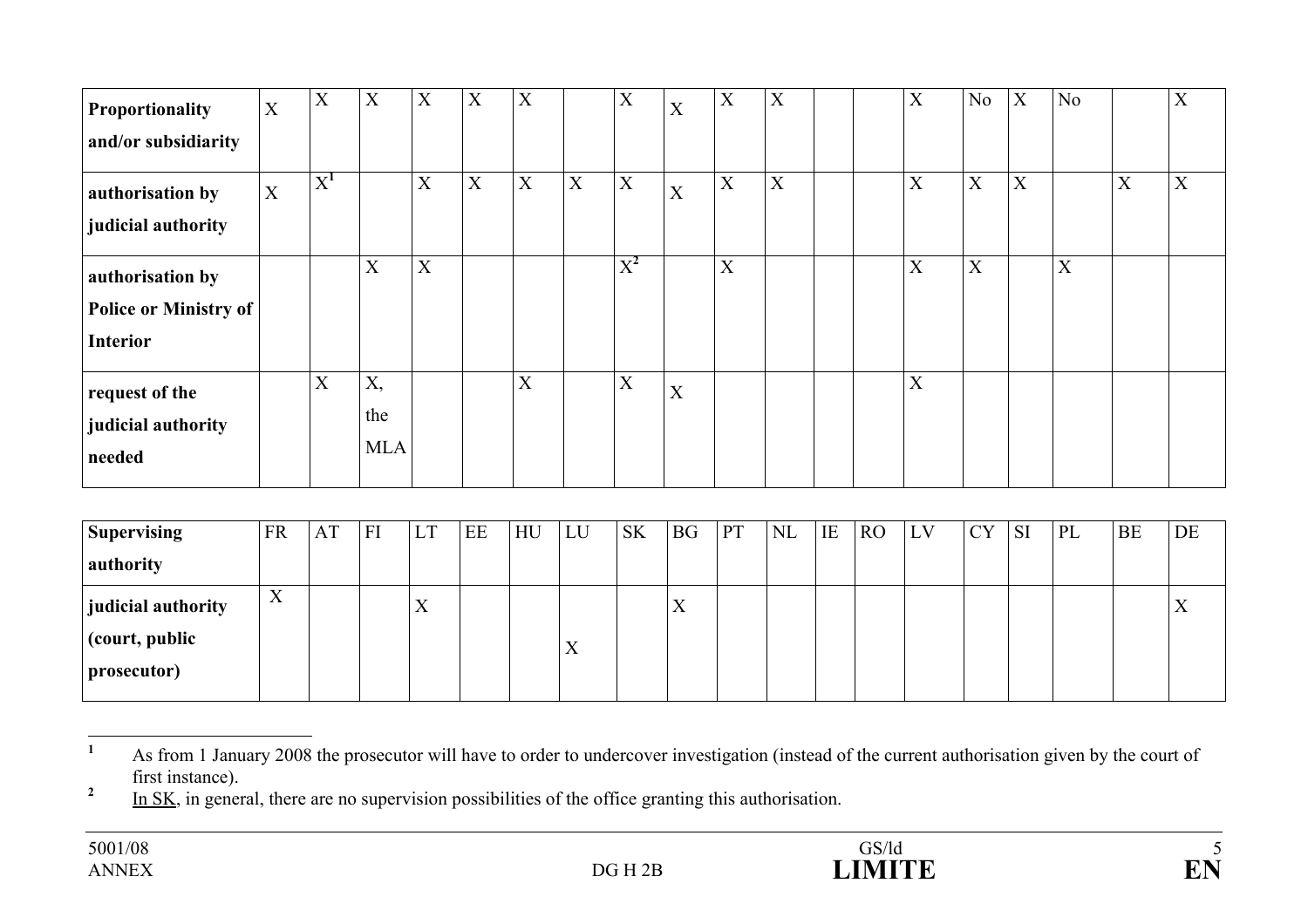| <b>Proportionality</b>       | $\mathbf X$ | X     | X                         | $\mathbf X$ | X | X                         |                           | X            | X                | X | X |  | X           | N <sub>o</sub> | X | N <sub>o</sub> |   | X |
|------------------------------|-------------|-------|---------------------------|-------------|---|---------------------------|---------------------------|--------------|------------------|---|---|--|-------------|----------------|---|----------------|---|---|
| and/or subsidiarity          |             |       |                           |             |   |                           |                           |              |                  |   |   |  |             |                |   |                |   |   |
| authorisation by             | $\mathbf X$ | $X^1$ |                           | $\mathbf X$ | X | $\boldsymbol{\mathrm{X}}$ | $\boldsymbol{\mathrm{X}}$ | $\mathbf{X}$ | $\boldsymbol{X}$ | X | X |  | X           | X              | X |                | X | X |
| judicial authority           |             |       |                           |             |   |                           |                           |              |                  |   |   |  |             |                |   |                |   |   |
| authorisation by             |             |       | $\boldsymbol{\mathrm{X}}$ | X           |   |                           |                           | $X^2$        |                  | X |   |  | X           | X              |   | X              |   |   |
| <b>Police or Ministry of</b> |             |       |                           |             |   |                           |                           |              |                  |   |   |  |             |                |   |                |   |   |
| <b>Interior</b>              |             |       |                           |             |   |                           |                           |              |                  |   |   |  |             |                |   |                |   |   |
| request of the               |             | X     | X,                        |             |   | X                         |                           | X            | X                |   |   |  | $\mathbf X$ |                |   |                |   |   |
| judicial authority           |             |       | the                       |             |   |                           |                           |              |                  |   |   |  |             |                |   |                |   |   |
| needed                       |             |       | <b>MLA</b>                |             |   |                           |                           |              |                  |   |   |  |             |                |   |                |   |   |

| <b>Supervising</b>                                             | <b>FR</b>                | AT | FI | <b>LT</b>         | EE | HU | LU                        | <b>SK</b> | <b>BG</b> | <b>PT</b> | $\rm NL$ | IE | R <sub>O</sub> | LV | <b>CY</b> | <b>SI</b> | PL | <b>BE</b> | DE |
|----------------------------------------------------------------|--------------------------|----|----|-------------------|----|----|---------------------------|-----------|-----------|-----------|----------|----|----------------|----|-----------|-----------|----|-----------|----|
| authority                                                      |                          |    |    |                   |    |    |                           |           |           |           |          |    |                |    |           |           |    |           |    |
| <b>judicial authority</b><br>$ $ (court, public<br>prosecutor) | $\mathbf v$<br>$\Lambda$ |    |    | $\rm\overline{X}$ |    |    | $\mathbf{v}$<br>$\Lambda$ |           |           |           |          |    |                |    |           |           |    |           | X  |

<sup>&</sup>lt;sup>1</sup> As from 1 January 2008 the prosecutor will have to order to undercover investigation (instead of the current authorisation given by the court of first instance).

<sup>&</sup>lt;sup>2</sup> In SK, in general, there are no supervision possibilities of the office granting this authorisation.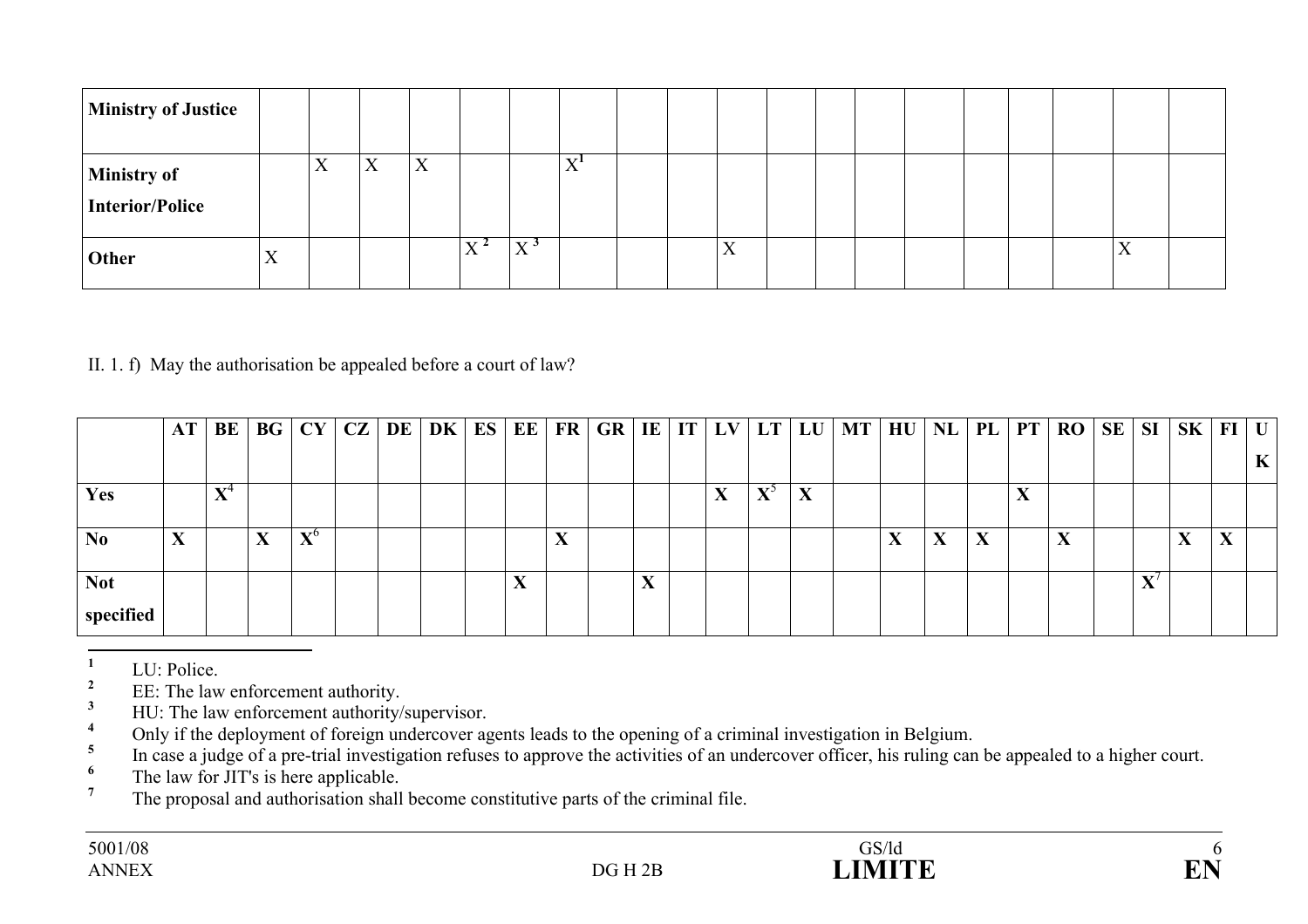| <b>Ministry of Justice</b>     |   |                 |                           |   |                |                   |     |  |   |  |  |  |           |  |
|--------------------------------|---|-----------------|---------------------------|---|----------------|-------------------|-----|--|---|--|--|--|-----------|--|
| Ministry of<br>Interior/Police |   | ٦z<br>$\Lambda$ | $\mathbf{v}$<br>$\Lambda$ | X |                |                   | xz1 |  |   |  |  |  |           |  |
| <b>Other</b>                   | X |                 |                           |   | $\mathbf{v}$ 4 | $X^{\mathcal{S}}$ |     |  | X |  |  |  | $\Lambda$ |  |

### II. 1. f) May the authorisation be appealed before a court of law?

|                | AT     | BE                 | BG | CY          |  | $CZ$ DE DK | ES EE |                   | FR   GR   IE   IT   LV   LT   LU |  |                   |                                                      |   | MT | $H$ U   NL |   | PL           | <b>PT</b>                 | RO                | SE | SI | $SK$   FI   U |   |
|----------------|--------|--------------------|----|-------------|--|------------|-------|-------------------|----------------------------------|--|-------------------|------------------------------------------------------|---|----|------------|---|--------------|---------------------------|-------------------|----|----|---------------|---|
|                |        |                    |    |             |  |            |       |                   |                                  |  |                   |                                                      |   |    |            |   |              |                           |                   |    |    |               | K |
| Yes            |        | $\mathbf{x}$ z $4$ |    |             |  |            |       |                   |                                  |  | $\mathbf{v}$<br>л | $\mathbf{V}^{\mathcal{Y}}$<br>$\boldsymbol{\Lambda}$ | X |    |            |   |              | $\mathbf{v}$<br>$\Lambda$ |                   |    |    |               |   |
| N <sub>0</sub> | v<br>A |                    | W. | ${\bf X}^6$ |  |            |       | $\mathbf{v}$<br>А |                                  |  |                   |                                                      |   |    | X          | X | $\mathbf{X}$ |                           | $\mathbf{v}$<br>Δ |    |    | $\mathbf{v}$  |   |
| <b>Not</b>     |        |                    |    |             |  |            |       |                   |                                  |  |                   |                                                      |   |    |            |   |              |                           |                   |    |    |               |   |
| specified      |        |                    |    |             |  |            |       |                   |                                  |  |                   |                                                      |   |    |            |   |              |                           |                   |    |    |               |   |

 $\frac{1}{2}$  LU: Police.

<sup>2</sup> EE: The law enforcement authority.

 $\frac{3}{4}$  HU: The law enforcement authority/supervisor.

<sup>4</sup> Only if the deployment of foreign undercover agents leads to the opening of a criminal investigation in Belgium.

<sup>5</sup> In case a judge of a pre-trial investigation refuses to approve the activities of an undercover officer, his ruling can be appealed to a higher court.

 $\frac{6}{7}$  The law for JIT's is here applicable.

**<sup>7</sup>** The proposal and authorisation shall become constitutive parts of the criminal file.

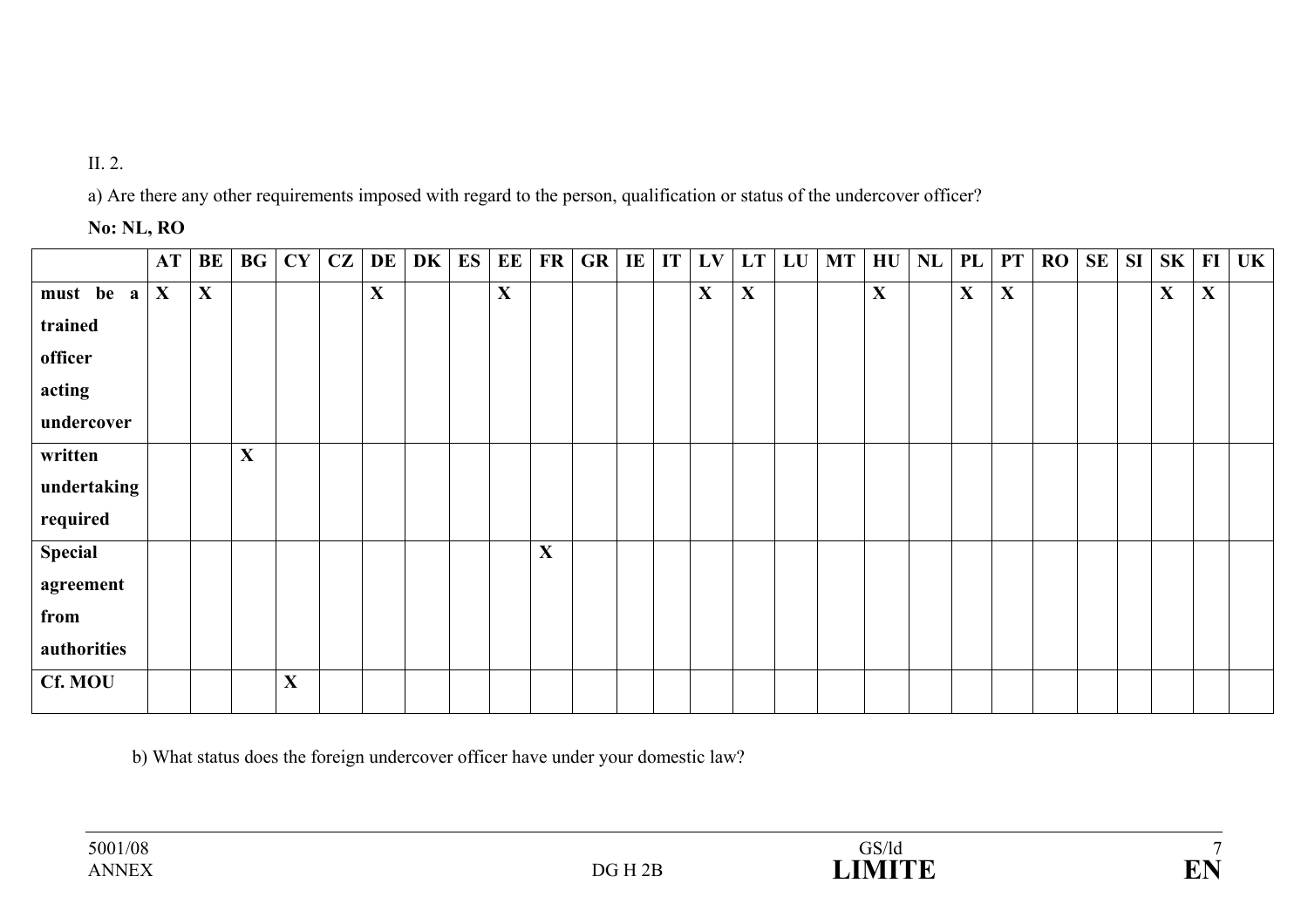# II. 2.

a) Are there any other requirements imposed with regard to the person, qualification or status of the undercover officer?

### **No: NL, RO**

|             | AT           | BE | <b>BG</b>    | CY | CZ | DE          | DK | ES | EE          | FR          | GR | $\mathbf{I}$ | IT | LV          | <b>LT</b> | LU | <b>MT</b> | HU           | NL | PL           | <b>PT</b> | RO | SE | SI | SK          | $\bf{FI}$    | UK |
|-------------|--------------|----|--------------|----|----|-------------|----|----|-------------|-------------|----|--------------|----|-------------|-----------|----|-----------|--------------|----|--------------|-----------|----|----|----|-------------|--------------|----|
| must be a   | $\mathbf{X}$ | X  |              |    |    | $\mathbf X$ |    |    | $\mathbf X$ |             |    |              |    | $\mathbf X$ | X         |    |           | $\mathbf{X}$ |    | $\mathbf{X}$ | X         |    |    |    | $\mathbf X$ | $\mathbf{X}$ |    |
| trained     |              |    |              |    |    |             |    |    |             |             |    |              |    |             |           |    |           |              |    |              |           |    |    |    |             |              |    |
| officer     |              |    |              |    |    |             |    |    |             |             |    |              |    |             |           |    |           |              |    |              |           |    |    |    |             |              |    |
| acting      |              |    |              |    |    |             |    |    |             |             |    |              |    |             |           |    |           |              |    |              |           |    |    |    |             |              |    |
| undercover  |              |    |              |    |    |             |    |    |             |             |    |              |    |             |           |    |           |              |    |              |           |    |    |    |             |              |    |
| written     |              |    | $\mathbf{X}$ |    |    |             |    |    |             |             |    |              |    |             |           |    |           |              |    |              |           |    |    |    |             |              |    |
| undertaking |              |    |              |    |    |             |    |    |             |             |    |              |    |             |           |    |           |              |    |              |           |    |    |    |             |              |    |
| required    |              |    |              |    |    |             |    |    |             |             |    |              |    |             |           |    |           |              |    |              |           |    |    |    |             |              |    |
| Special     |              |    |              |    |    |             |    |    |             | $\mathbf X$ |    |              |    |             |           |    |           |              |    |              |           |    |    |    |             |              |    |
| agreement   |              |    |              |    |    |             |    |    |             |             |    |              |    |             |           |    |           |              |    |              |           |    |    |    |             |              |    |
| from        |              |    |              |    |    |             |    |    |             |             |    |              |    |             |           |    |           |              |    |              |           |    |    |    |             |              |    |
| authorities |              |    |              |    |    |             |    |    |             |             |    |              |    |             |           |    |           |              |    |              |           |    |    |    |             |              |    |
| Cf. MOU     |              |    |              | X  |    |             |    |    |             |             |    |              |    |             |           |    |           |              |    |              |           |    |    |    |             |              |    |

b) What status does the foreign undercover officer have under your domestic law?

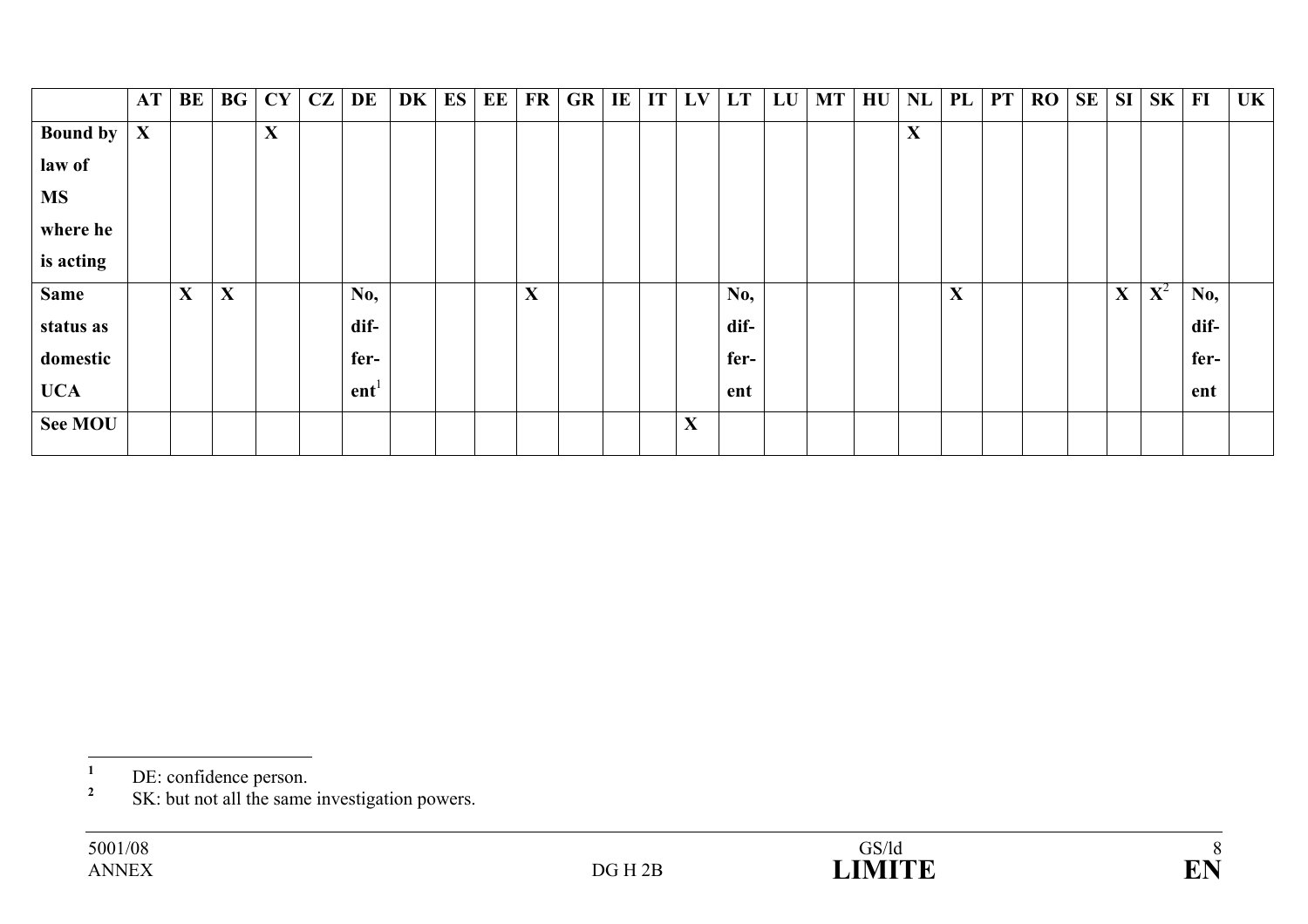|                 | <b>AT</b>    | BE          | BG          | <b>CY</b>   | CZ | DE               | DK | ES | EE | <b>FR</b>   | GR | IE | IT | LV | <b>LT</b> | LU | <b>MT</b> | HU | NL          | PL | <b>PT</b> | <b>RO</b> | <b>SE</b> | <b>SI</b> | <b>SK</b>   | FI   | UK |
|-----------------|--------------|-------------|-------------|-------------|----|------------------|----|----|----|-------------|----|----|----|----|-----------|----|-----------|----|-------------|----|-----------|-----------|-----------|-----------|-------------|------|----|
| <b>Bound by</b> | $\mathbf{X}$ |             |             | $\mathbf X$ |    |                  |    |    |    |             |    |    |    |    |           |    |           |    | $\mathbf X$ |    |           |           |           |           |             |      |    |
| law of          |              |             |             |             |    |                  |    |    |    |             |    |    |    |    |           |    |           |    |             |    |           |           |           |           |             |      |    |
| <b>MS</b>       |              |             |             |             |    |                  |    |    |    |             |    |    |    |    |           |    |           |    |             |    |           |           |           |           |             |      |    |
| where he        |              |             |             |             |    |                  |    |    |    |             |    |    |    |    |           |    |           |    |             |    |           |           |           |           |             |      |    |
| is acting       |              |             |             |             |    |                  |    |    |    |             |    |    |    |    |           |    |           |    |             |    |           |           |           |           |             |      |    |
| <b>Same</b>     |              | $\mathbf X$ | $\mathbf X$ |             |    | No,              |    |    |    | $\mathbf X$ |    |    |    |    | No,       |    |           |    |             | X  |           |           |           | X         | ${\bf X}^2$ | No,  |    |
| status as       |              |             |             |             |    | dif-             |    |    |    |             |    |    |    |    | dif-      |    |           |    |             |    |           |           |           |           |             | dif- |    |
| domestic        |              |             |             |             |    | fer-             |    |    |    |             |    |    |    |    | fer-      |    |           |    |             |    |           |           |           |           |             | fer- |    |
| <b>UCA</b>      |              |             |             |             |    | ent <sup>1</sup> |    |    |    |             |    |    |    |    | ent       |    |           |    |             |    |           |           |           |           |             | ent  |    |
| <b>See MOU</b>  |              |             |             |             |    |                  |    |    |    |             |    |    |    | X  |           |    |           |    |             |    |           |           |           |           |             |      |    |
|                 |              |             |             |             |    |                  |    |    |    |             |    |    |    |    |           |    |           |    |             |    |           |           |           |           |             |      |    |



**<sup>1</sup>** DE: confidence person.

<sup>&</sup>lt;sup>2</sup> SK: but not all the same investigation powers.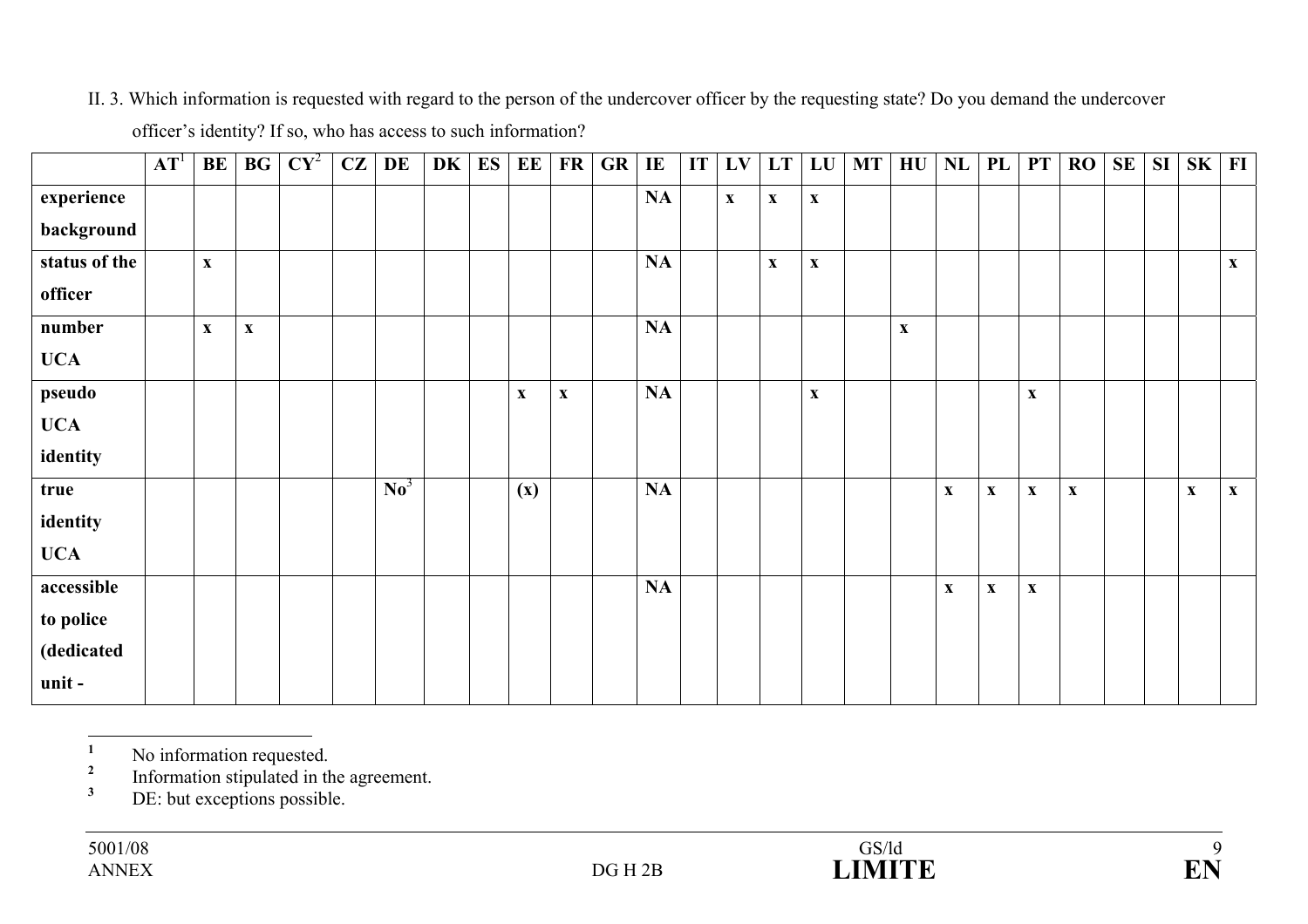### II. 3. Which information is requested with regard to the person of the undercover officer by the requesting state? Do you demand the undercover

|               | AT <sup>1</sup> | BE           | BG          | $CY^2$ | CZ | DE                       | DK | ES | EE          | FR          | GR | IE | IT | LV                        | LT                        | LU                        | <b>MT</b> | $\mathbf{H}\mathbf{U}$    | NL                        | PL                        | PT                        | RO                        | SE | <b>SI</b> | ${\bf S}{\bf K}$ | F1                        |
|---------------|-----------------|--------------|-------------|--------|----|--------------------------|----|----|-------------|-------------|----|----|----|---------------------------|---------------------------|---------------------------|-----------|---------------------------|---------------------------|---------------------------|---------------------------|---------------------------|----|-----------|------------------|---------------------------|
| experience    |                 |              |             |        |    |                          |    |    |             |             |    | NA |    | $\boldsymbol{\mathrm{X}}$ | $\boldsymbol{\mathrm{X}}$ | $\mathbf{X}$              |           |                           |                           |                           |                           |                           |    |           |                  |                           |
| background    |                 |              |             |        |    |                          |    |    |             |             |    |    |    |                           |                           |                           |           |                           |                           |                           |                           |                           |    |           |                  |                           |
| status of the |                 | $\mathbf{X}$ |             |        |    |                          |    |    |             |             |    | NA |    |                           | $\boldsymbol{\mathrm{X}}$ | $\boldsymbol{\mathrm{X}}$ |           |                           |                           |                           |                           |                           |    |           |                  | $\mathbf X$               |
| officer       |                 |              |             |        |    |                          |    |    |             |             |    |    |    |                           |                           |                           |           |                           |                           |                           |                           |                           |    |           |                  |                           |
| number        |                 | $\mathbf{X}$ | $\mathbf X$ |        |    |                          |    |    |             |             |    | NA |    |                           |                           |                           |           | $\boldsymbol{\mathrm{X}}$ |                           |                           |                           |                           |    |           |                  |                           |
| <b>UCA</b>    |                 |              |             |        |    |                          |    |    |             |             |    |    |    |                           |                           |                           |           |                           |                           |                           |                           |                           |    |           |                  |                           |
| pseudo        |                 |              |             |        |    |                          |    |    | $\mathbf X$ | $\mathbf X$ |    | NA |    |                           |                           | $\boldsymbol{\mathrm{X}}$ |           |                           |                           |                           | $\boldsymbol{\mathrm{X}}$ |                           |    |           |                  |                           |
| <b>UCA</b>    |                 |              |             |        |    |                          |    |    |             |             |    |    |    |                           |                           |                           |           |                           |                           |                           |                           |                           |    |           |                  |                           |
| identity      |                 |              |             |        |    |                          |    |    |             |             |    |    |    |                           |                           |                           |           |                           |                           |                           |                           |                           |    |           |                  |                           |
| true          |                 |              |             |        |    | $\mathbf{N}\mathbf{o}^3$ |    |    | (x)         |             |    | NA |    |                           |                           |                           |           |                           | $\boldsymbol{\mathrm{X}}$ | $\boldsymbol{\mathrm{X}}$ | $\mathbf X$               | $\boldsymbol{\mathrm{X}}$ |    |           | $\mathbf X$      | $\boldsymbol{\mathrm{X}}$ |
| identity      |                 |              |             |        |    |                          |    |    |             |             |    |    |    |                           |                           |                           |           |                           |                           |                           |                           |                           |    |           |                  |                           |
| <b>UCA</b>    |                 |              |             |        |    |                          |    |    |             |             |    |    |    |                           |                           |                           |           |                           |                           |                           |                           |                           |    |           |                  |                           |
| accessible    |                 |              |             |        |    |                          |    |    |             |             |    | NA |    |                           |                           |                           |           |                           | $\boldsymbol{\mathrm{X}}$ | $\boldsymbol{\mathrm{X}}$ | $\boldsymbol{\mathrm{X}}$ |                           |    |           |                  |                           |
| to police     |                 |              |             |        |    |                          |    |    |             |             |    |    |    |                           |                           |                           |           |                           |                           |                           |                           |                           |    |           |                  |                           |
| (dedicated    |                 |              |             |        |    |                          |    |    |             |             |    |    |    |                           |                           |                           |           |                           |                           |                           |                           |                           |    |           |                  |                           |
| unit-         |                 |              |             |        |    |                          |    |    |             |             |    |    |    |                           |                           |                           |           |                           |                           |                           |                           |                           |    |           |                  |                           |

officer's identity? If so, who has access to such information?

<sup>1</sup> No information requested.

<sup>2</sup> Information stipulated in the agreement.

<sup>3</sup> DE: but exceptions possible.

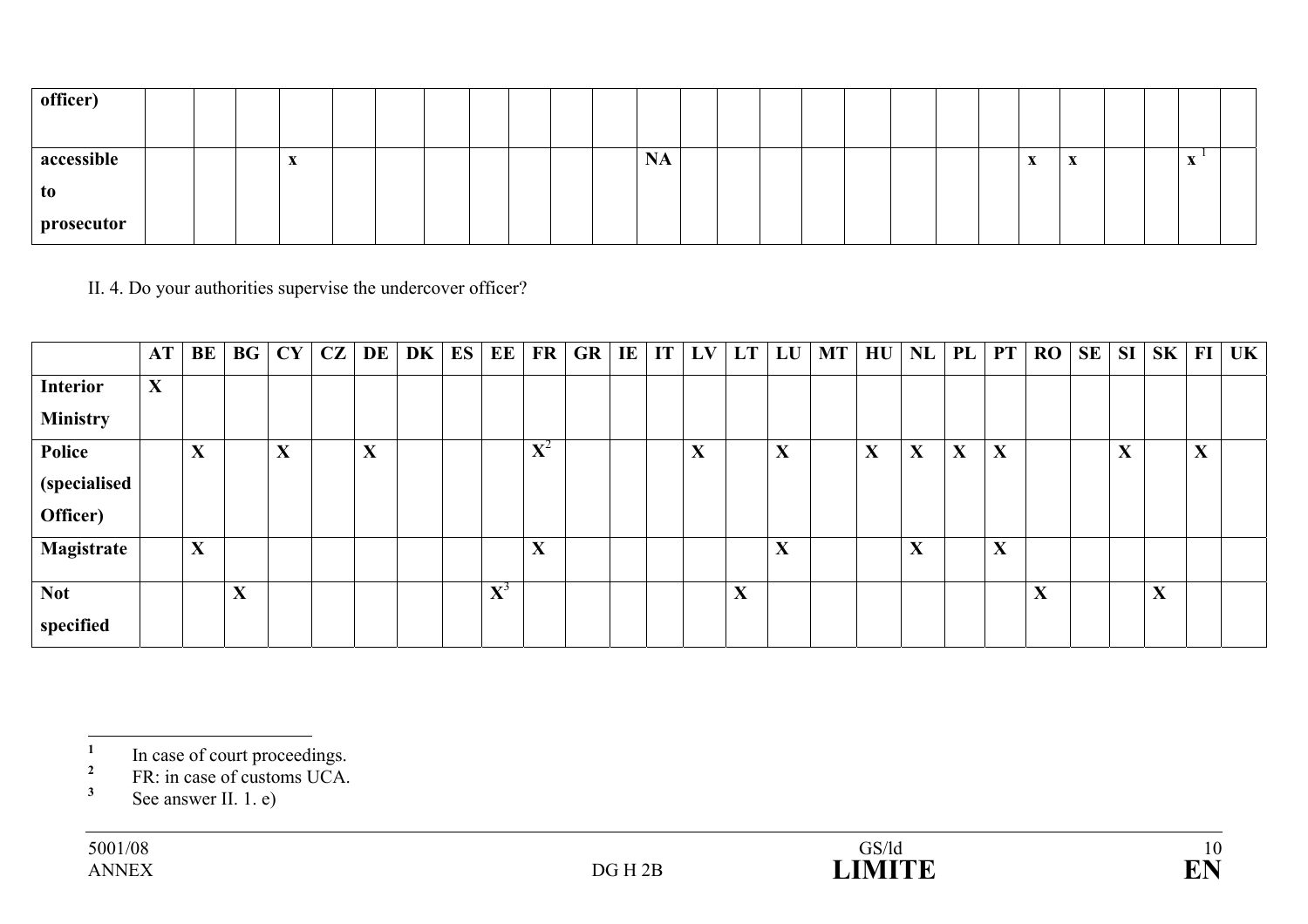| officer)   |  |                        |  |  |  |           |  |  |  |  |                              |                           |  |   |  |
|------------|--|------------------------|--|--|--|-----------|--|--|--|--|------------------------------|---------------------------|--|---|--|
| accessible |  | $\boldsymbol{\Lambda}$ |  |  |  | <b>NA</b> |  |  |  |  | $\mathbf{v}$<br>$\mathbf{A}$ | $\boldsymbol{\mathrm{X}}$ |  | - |  |
| to         |  |                        |  |  |  |           |  |  |  |  |                              |                           |  |   |  |
| prosecutor |  |                        |  |  |  |           |  |  |  |  |                              |                           |  |   |  |

II. 4. Do your authorities supervise the undercover officer?

|                 | AT           | BE | <b>BG</b> | CY                        | $\mathbf{CZ}^+$ | <b>DE</b>    | DK | ES | EE          | FR                          | $GR$ $IE$ | IT | LV        | LT          | LU                | MT | HU                | NL | PL          | <b>PT</b> | <b>RO</b> | <b>SE</b> | SI          | $SK$ FI           |                   | UK |
|-----------------|--------------|----|-----------|---------------------------|-----------------|--------------|----|----|-------------|-----------------------------|-----------|----|-----------|-------------|-------------------|----|-------------------|----|-------------|-----------|-----------|-----------|-------------|-------------------|-------------------|----|
| Interior        | $\mathbf{X}$ |    |           |                           |                 |              |    |    |             |                             |           |    |           |             |                   |    |                   |    |             |           |           |           |             |                   |                   |    |
| <b>Ministry</b> |              |    |           |                           |                 |              |    |    |             |                             |           |    |           |             |                   |    |                   |    |             |           |           |           |             |                   |                   |    |
| Police          |              | X  |           | $\mathbf{v}$<br>$\Lambda$ |                 | $\mathbf{X}$ |    |    |             | $\mathbf{V}^2$<br>$\Lambda$ |           |    | $\Lambda$ |             | X                 |    | $\mathbf{v}$<br>л | X  | $\mathbf X$ | X         |           |           | $\mathbf X$ |                   | $\mathbf{v}$<br>A |    |
| (specialised    |              |    |           |                           |                 |              |    |    |             |                             |           |    |           |             |                   |    |                   |    |             |           |           |           |             |                   |                   |    |
| Officer)        |              |    |           |                           |                 |              |    |    |             |                             |           |    |           |             |                   |    |                   |    |             |           |           |           |             |                   |                   |    |
| Magistrate      |              | X  |           |                           |                 |              |    |    |             | X                           |           |    |           |             | $\mathbf{v}$<br>л |    |                   | X  |             | X         |           |           |             |                   |                   |    |
| <b>Not</b>      |              |    | X         |                           |                 |              |    |    | ${\bf X}^3$ |                             |           |    |           | $\mathbf X$ |                   |    |                   |    |             |           | X         |           |             | $\mathbf{v}$<br>A |                   |    |
| specified       |              |    |           |                           |                 |              |    |    |             |                             |           |    |           |             |                   |    |                   |    |             |           |           |           |             |                   |                   |    |

<sup>&</sup>lt;sup>1</sup> In case of court proceedings.

<sup>&</sup>lt;sup>2</sup> FR: in case of customs UCA.

<sup>&</sup>lt;sup>3</sup> See answer II. 1. e)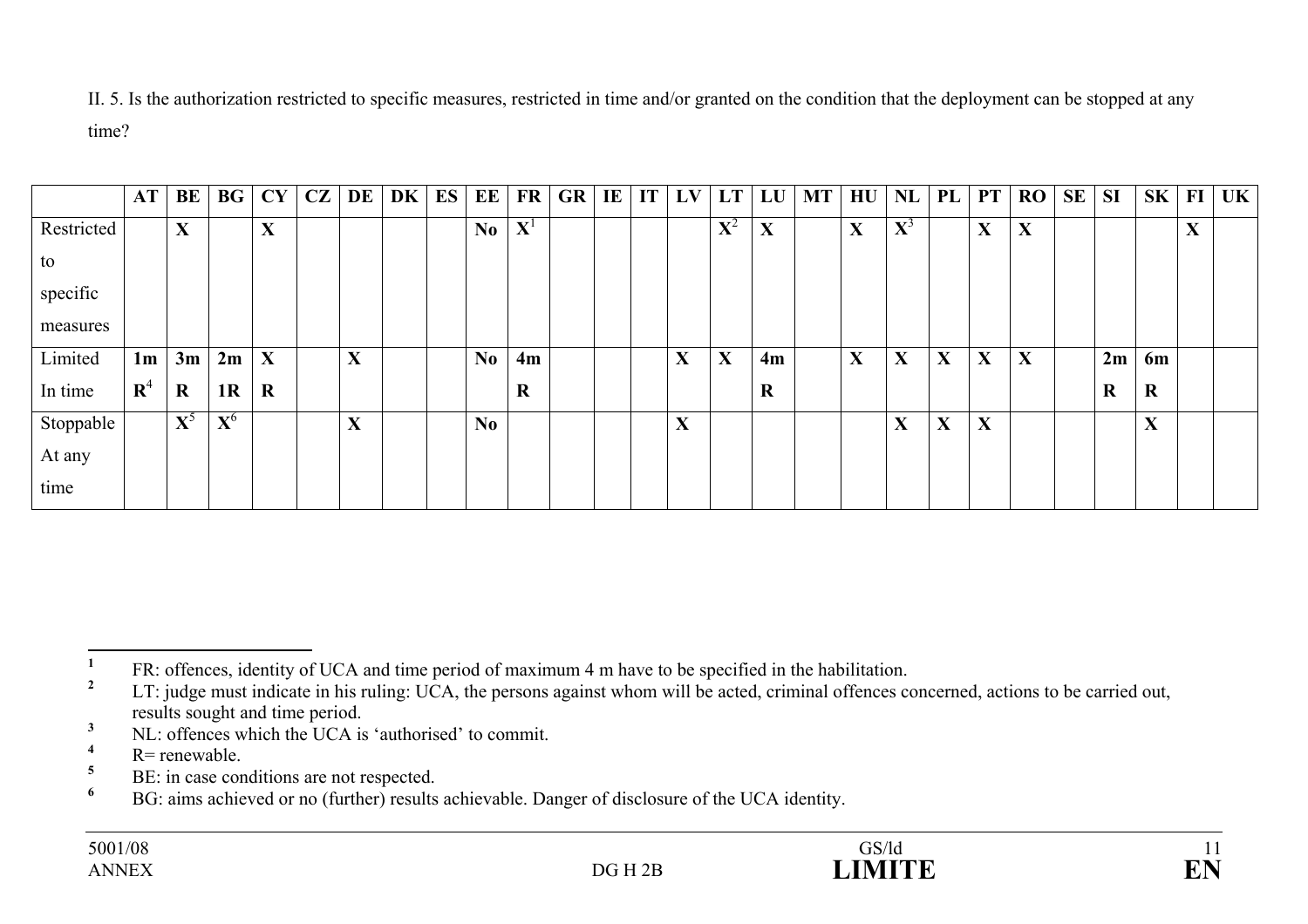II. 5. Is the authorization restricted to specific measures, restricted in time and/or granted on the condition that the deployment can be stopped at any time?

|            | AT             | <b>BE</b>   | BG             | CY          | CZ | DE                                     | DK | ES | <b>EE</b>      | $\mathbf{FR}$ | GR | $\bf{I}$ <b>E</b> | IT | LV | LT          | LU          | MT | HU | NL          | PL          | <b>PT</b>   | <b>RO</b> | <b>SE</b> | <b>SI</b> | SK                          | FI                | $UK \vert$ |
|------------|----------------|-------------|----------------|-------------|----|----------------------------------------|----|----|----------------|---------------|----|-------------------|----|----|-------------|-------------|----|----|-------------|-------------|-------------|-----------|-----------|-----------|-----------------------------|-------------------|------------|
| Restricted |                | $\mathbf X$ |                | X           |    |                                        |    |    | No             | ${\bf X}^1$   |    |                   |    |    | ${\bf X}^2$ | $\mathbf X$ |    | X  | ${\bf X}^3$ |             | $\mathbf X$ | X         |           |           |                             | $\mathbf{v}$<br>л |            |
| to         |                |             |                |             |    |                                        |    |    |                |               |    |                   |    |    |             |             |    |    |             |             |             |           |           |           |                             |                   |            |
| specific   |                |             |                |             |    |                                        |    |    |                |               |    |                   |    |    |             |             |    |    |             |             |             |           |           |           |                             |                   |            |
| measures   |                |             |                |             |    |                                        |    |    |                |               |    |                   |    |    |             |             |    |    |             |             |             |           |           |           |                             |                   |            |
| Limited    | 1 <sub>m</sub> | 3m          | 2m             | X           |    | $\mathbf{v}$<br>л                      |    |    | N <sub>0</sub> | 4m            |    |                   |    | X  | X           | 4m          |    | X  | $\mathbf X$ | $\mathbf X$ | $\mathbf X$ | X         |           | 2m        | 6m                          |                   |            |
| In time    | ${\bf R}^4$    | $\bf R$     | 1 <sub>R</sub> | $\mathbf R$ |    |                                        |    |    |                | $\mathbf R$   |    |                   |    |    |             | $\bf R$     |    |    |             |             |             |           |           | $\bf R$   | $\mathbf R$                 |                   |            |
| Stoppable  |                | ${\bf X}^5$ | ${\bf X}^6$    |             |    | $\mathbf{v}$<br>$\boldsymbol{\Lambda}$ |    |    | No             |               |    |                   |    | X  |             |             |    |    | $\mathbf X$ | X           | $\mathbf X$ |           |           |           | v<br>$\boldsymbol{\Lambda}$ |                   |            |
| At any     |                |             |                |             |    |                                        |    |    |                |               |    |                   |    |    |             |             |    |    |             |             |             |           |           |           |                             |                   |            |
| time       |                |             |                |             |    |                                        |    |    |                |               |    |                   |    |    |             |             |    |    |             |             |             |           |           |           |                             |                   |            |

**<sup>1</sup>** FR: offences, identity of UCA and time period of maximum 4 m have to be specified in the habilitation.

**<sup>2</sup>** LT: judge must indicate in his ruling: UCA, the persons against whom will be acted, criminal offences concerned, actions to be carried out, results sought and time period.

**<sup>3</sup>** NL: offences which the UCA is 'authorised' to commit.

**<sup>4</sup>** R= renewable.

 $5$  BE: in case conditions are not respected.

**<sup>6</sup>** BG: aims achieved or no (further) results achievable. Danger of disclosure of the UCA identity.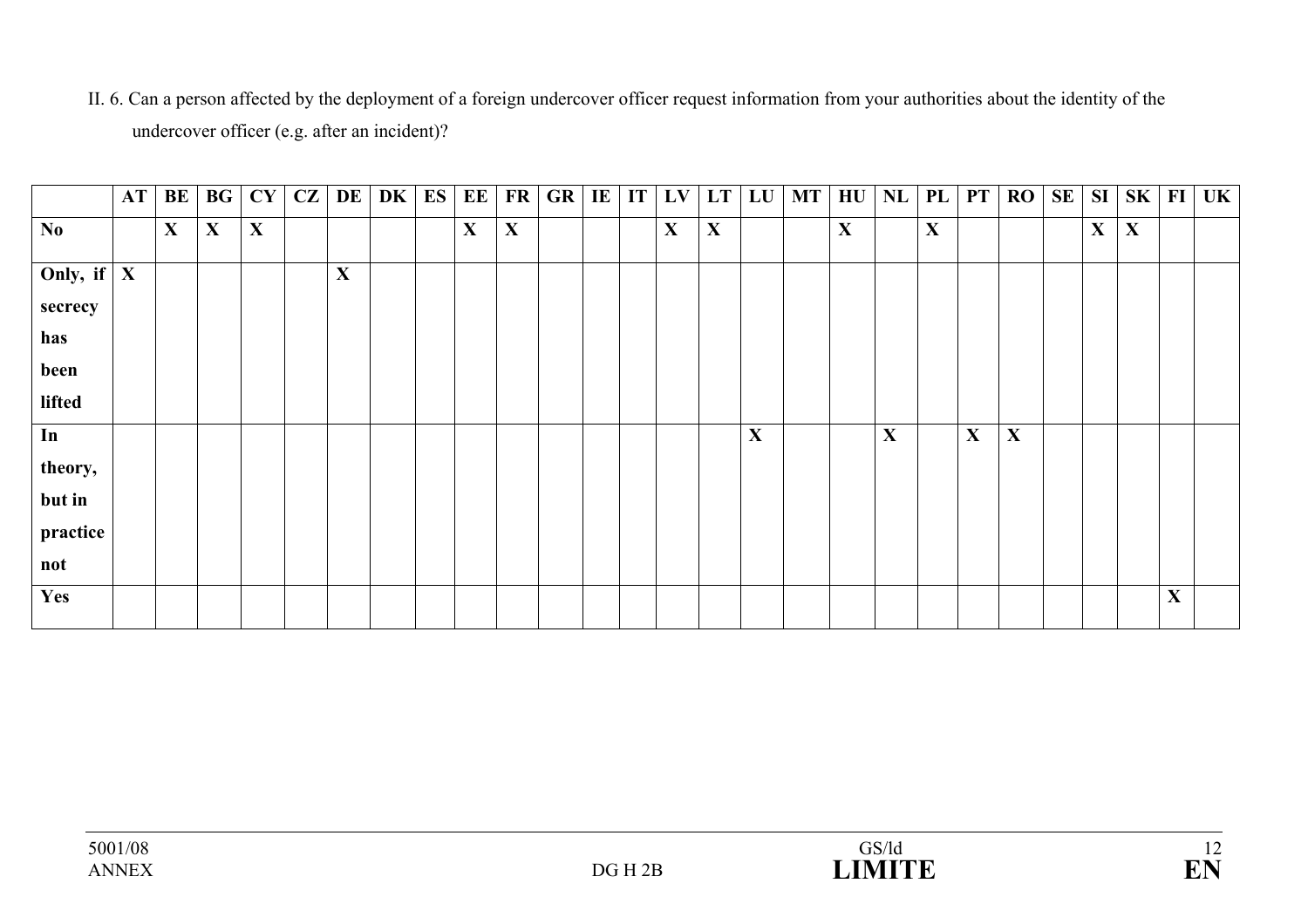II. 6. Can a person affected by the deployment of a foreign undercover officer request information from your authorities about the identity of the undercover officer (e.g. after an incident)?

|                        | AT | BE          | BG | CY          | CZ | DE | <b>DK</b> | ES | EE          | FR          | <b>GR</b> | IE | IT | LV | LT          | LU | <b>MT</b> |             | $H\mathrm{U}$ NL | PL          | PT          | <b>RO</b>   | SE | SI          | SK          | $\bf{FI}$   | <b>UK</b> |
|------------------------|----|-------------|----|-------------|----|----|-----------|----|-------------|-------------|-----------|----|----|----|-------------|----|-----------|-------------|------------------|-------------|-------------|-------------|----|-------------|-------------|-------------|-----------|
| $\mathbf{N}\mathbf{0}$ |    | $\mathbf X$ | X  | $\mathbf X$ |    |    |           |    | $\mathbf X$ | $\mathbf X$ |           |    |    | X  | $\mathbf X$ |    |           | $\mathbf X$ |                  | $\mathbf X$ |             |             |    | $\mathbf X$ | $\mathbf X$ |             |           |
| Only, if $\mid X \mid$ |    |             |    |             |    | X  |           |    |             |             |           |    |    |    |             |    |           |             |                  |             |             |             |    |             |             |             |           |
| secrecy                |    |             |    |             |    |    |           |    |             |             |           |    |    |    |             |    |           |             |                  |             |             |             |    |             |             |             |           |
| has                    |    |             |    |             |    |    |           |    |             |             |           |    |    |    |             |    |           |             |                  |             |             |             |    |             |             |             |           |
| been                   |    |             |    |             |    |    |           |    |             |             |           |    |    |    |             |    |           |             |                  |             |             |             |    |             |             |             |           |
| lifted                 |    |             |    |             |    |    |           |    |             |             |           |    |    |    |             |    |           |             |                  |             |             |             |    |             |             |             |           |
| In                     |    |             |    |             |    |    |           |    |             |             |           |    |    |    |             | X  |           |             | X                |             | $\mathbf X$ | $\mathbf X$ |    |             |             |             |           |
| theory,                |    |             |    |             |    |    |           |    |             |             |           |    |    |    |             |    |           |             |                  |             |             |             |    |             |             |             |           |
| but in                 |    |             |    |             |    |    |           |    |             |             |           |    |    |    |             |    |           |             |                  |             |             |             |    |             |             |             |           |
| practice               |    |             |    |             |    |    |           |    |             |             |           |    |    |    |             |    |           |             |                  |             |             |             |    |             |             |             |           |
| not                    |    |             |    |             |    |    |           |    |             |             |           |    |    |    |             |    |           |             |                  |             |             |             |    |             |             |             |           |
| Yes                    |    |             |    |             |    |    |           |    |             |             |           |    |    |    |             |    |           |             |                  |             |             |             |    |             |             | $\mathbf X$ |           |
|                        |    |             |    |             |    |    |           |    |             |             |           |    |    |    |             |    |           |             |                  |             |             |             |    |             |             |             |           |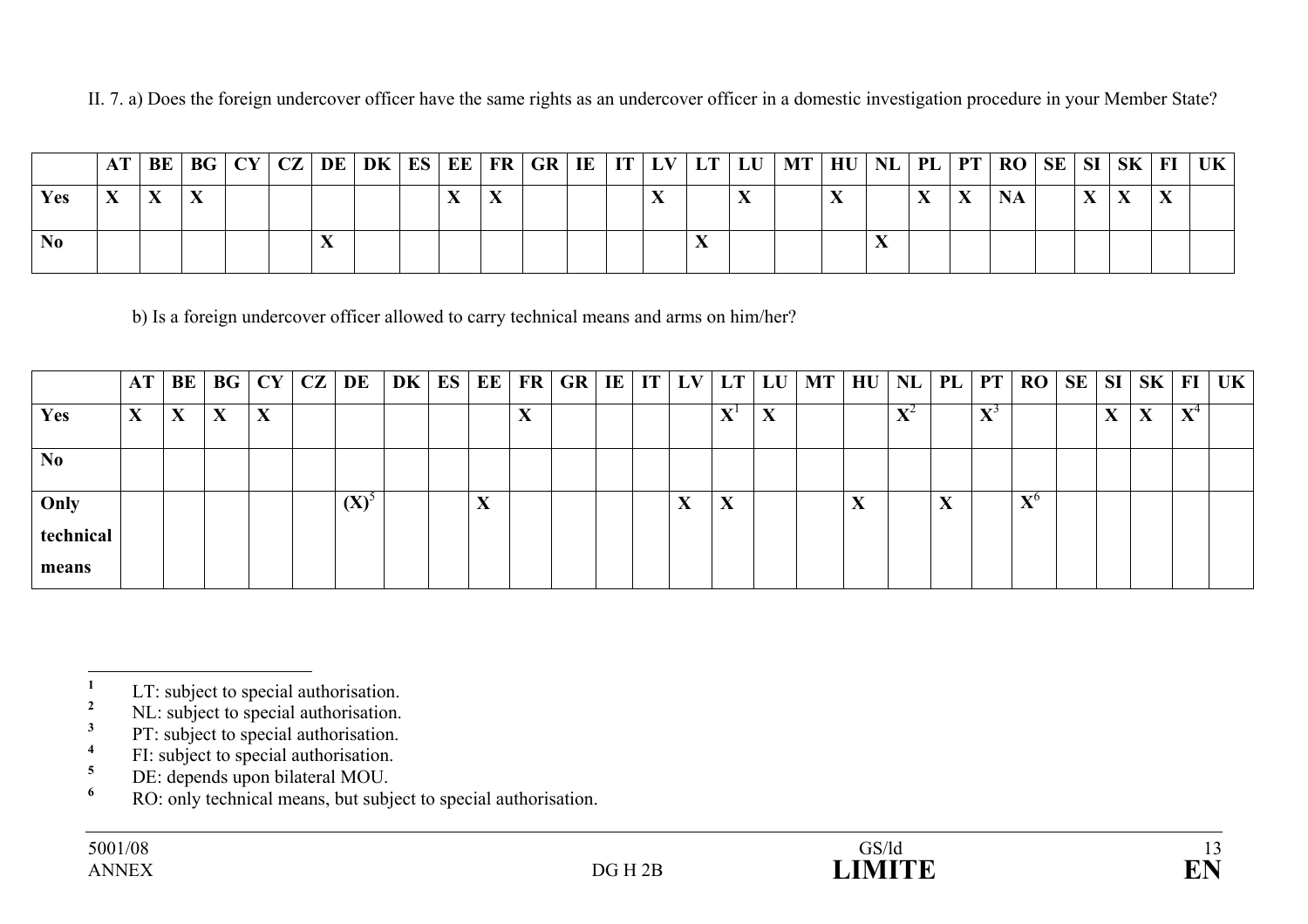II. 7. a) Does the foreign undercover officer have the same rights as an undercover officer in a domestic investigation procedure in your Member State?

|      |  |  |  |  |  |  |  |  | AT   BE   BG   CY   CZ   DE   DK   ES   EE   FR   GR   IE   IT   LV   LT   LU   MT   HU   NL   PL   PT   RO   SE   SI   SK   FI |  |  |  |  | UK |
|------|--|--|--|--|--|--|--|--|---------------------------------------------------------------------------------------------------------------------------------|--|--|--|--|----|
| Yes: |  |  |  |  |  |  |  |  |                                                                                                                                 |  |  |  |  |    |
| No   |  |  |  |  |  |  |  |  |                                                                                                                                 |  |  |  |  |    |

b) Is a foreign undercover officer allowed to carry technical means and arms on him/her?

|                | AT | BE | <b>BG</b> | CY | CZ | DE      | DK | ES | EE                |                  | FR GR | IE | IT | LV                                                | LT                | LU                        | MT <sup>1</sup> | HU        | $NL$ PL        |                                        | PT                | <b>RO</b>                 | SE | SI                     | <b>SK</b>                              | FI                        | UK |
|----------------|----|----|-----------|----|----|---------|----|----|-------------------|------------------|-------|----|----|---------------------------------------------------|-------------------|---------------------------|-----------------|-----------|----------------|----------------------------------------|-------------------|---------------------------|----|------------------------|----------------------------------------|---------------------------|----|
| <b>Yes</b>     | X  |    | X         | X  |    |         |    |    |                   | XT.<br>$\Lambda$ |       |    |    |                                                   | $\mathbf{v}$<br>A | $\mathbf{v}$<br>$\Lambda$ |                 |           | $\mathbf{V}^2$ |                                        | $\mathbf{v}$<br>A |                           |    | $\boldsymbol{\Lambda}$ | $\mathbf{v}$<br>$\boldsymbol{\Lambda}$ | $\mathbf{x}$<br>$\Lambda$ |    |
| N <sub>0</sub> |    |    |           |    |    |         |    |    |                   |                  |       |    |    |                                                   |                   |                           |                 |           |                |                                        |                   |                           |    |                        |                                        |                           |    |
| Only           |    |    |           |    |    | $(X)^5$ |    |    | $\mathbf{v}$<br>Δ |                  |       |    |    | $\overline{\mathbf{x}}$<br>$\boldsymbol{\Lambda}$ | X                 |                           |                 | $\Lambda$ |                | $\mathbf{v}$<br>$\boldsymbol{\Lambda}$ |                   | $\mathbf{v}$<br>$\Lambda$ |    |                        |                                        |                           |    |
| technical      |    |    |           |    |    |         |    |    |                   |                  |       |    |    |                                                   |                   |                           |                 |           |                |                                        |                   |                           |    |                        |                                        |                           |    |
| means          |    |    |           |    |    |         |    |    |                   |                  |       |    |    |                                                   |                   |                           |                 |           |                |                                        |                   |                           |    |                        |                                        |                           |    |

- <sup>3</sup> PT: subject to special authorisation.
- <sup>4</sup> FI: subject to special authorisation.<br>
<sup>5</sup> DE: depends upon bilateral MOU
- $5\qquad \text{DE: depends upon bilateral MOU.}$
- **<sup>6</sup>** RO: only technical means, but subject to special authorisation.

 $\frac{1}{2}$  LT: subject to special authorisation.

<sup>&</sup>lt;sup>2</sup> NL: subject to special authorisation.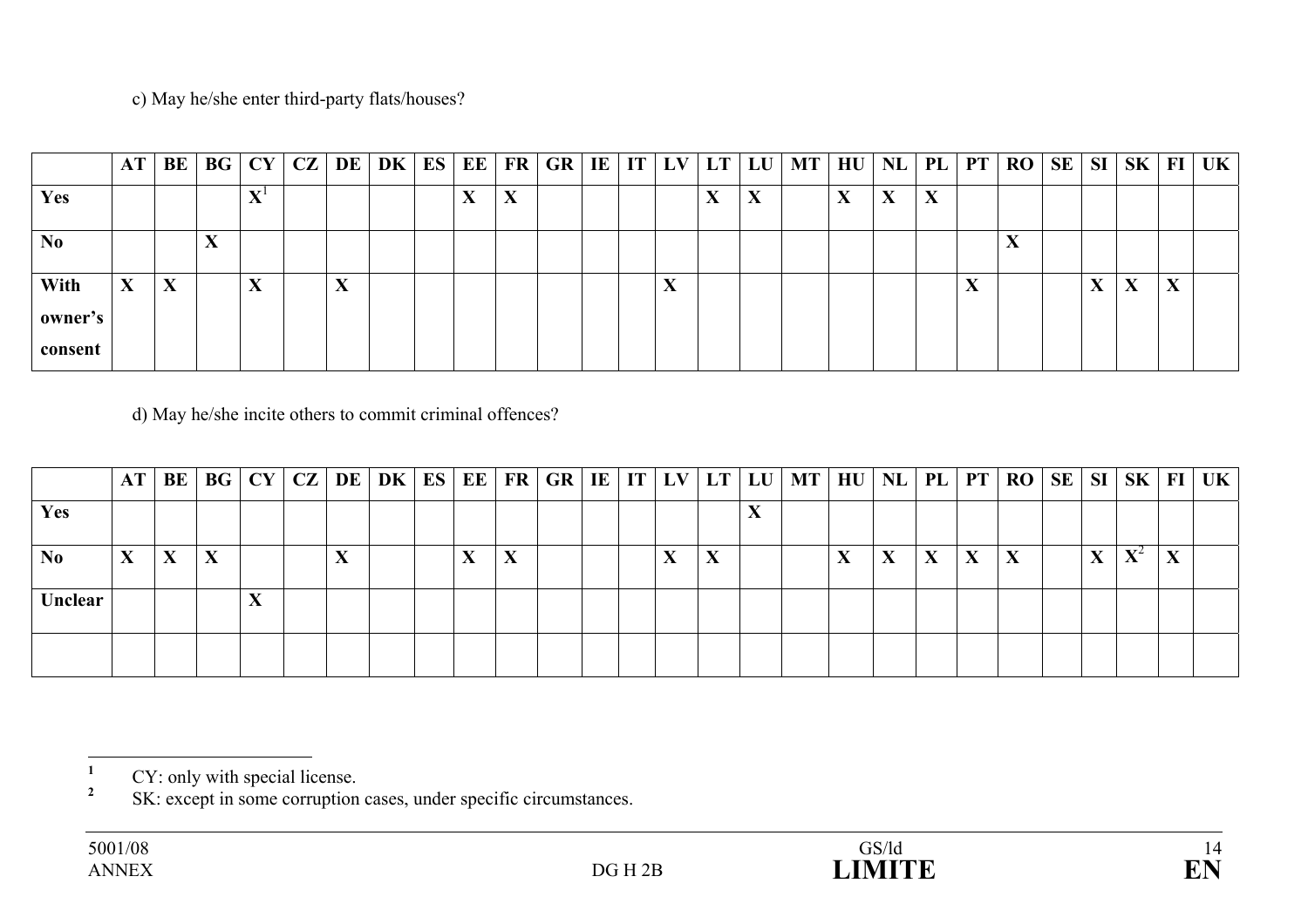### c) May he/she enter third-party flats/houses?

|                            | AT           | BE | BG                          | CY                        | CZ | <b>DE</b>         | DK | ES | EE                                     | FR        | GR | $IE$ $IT$ | LV                | $LT$ $LU$         |   | MT | HU | $NL$   PL                              |           | PT                | <b>RO</b> | <b>SE</b> | <b>SI</b> | SK                | $\bf{FI}$               | UK |
|----------------------------|--------------|----|-----------------------------|---------------------------|----|-------------------|----|----|----------------------------------------|-----------|----|-----------|-------------------|-------------------|---|----|----|----------------------------------------|-----------|-------------------|-----------|-----------|-----------|-------------------|-------------------------|----|
| Yes                        |              |    |                             | $\mathbf{x}$ z 1<br>∡⊾    |    |                   |    |    | $\mathbf{v}$<br>$\boldsymbol{\Lambda}$ | $\Lambda$ |    |           |                   | $\mathbf{v}$<br>л | Δ |    | X  | $\mathbf{v}$<br>$\boldsymbol{\Lambda}$ | $\Lambda$ |                   |           |           |           |                   |                         |    |
| N <sub>0</sub>             |              |    | $\blacksquare$<br>$\Lambda$ |                           |    |                   |    |    |                                        |           |    |           |                   |                   |   |    |    |                                        |           |                   | -43       |           |           |                   |                         |    |
| With<br>owner's<br>consent | $\mathbf{X}$ | X  |                             | $\mathbf{r}$<br>$\Lambda$ |    | $\mathbf{v}$<br>△ |    |    |                                        |           |    |           | $\mathbf{v}$<br>A |                   |   |    |    |                                        |           | $\mathbf{v}$<br>A |           |           | A         | $\mathbf{v}$<br>A | $\overline{\mathbf{x}}$ |    |

d) May he/she incite others to commit criminal offences?

|                | $AT \,   \, BE$        |   |   |  |     | BG   CY   CZ   DE   DK   ES | EE  | FR | GR |  | IE   IT   LV           |                                        |     | $LT$ LU $MT$ | HU   NL   PL |        |   |                   | $PT$ RO |   |                            | SE   SI   SK   FI   UK |
|----------------|------------------------|---|---|--|-----|-----------------------------|-----|----|----|--|------------------------|----------------------------------------|-----|--------------|--------------|--------|---|-------------------|---------|---|----------------------------|------------------------|
| Yes            |                        |   |   |  |     |                             |     |    |    |  |                        |                                        | -43 |              |              |        |   |                   |         |   |                            |                        |
| N <sub>0</sub> | $\boldsymbol{\Lambda}$ | X | X |  | -43 |                             | -43 | Δ  |    |  | $\boldsymbol{\Lambda}$ | $\mathbf{v}$<br>$\boldsymbol{\Lambda}$ |     |              | л            | v<br>A | л | $\mathbf{v}$<br>A |         | A | $\mathbf{V}^{\mathcal{L}}$ |                        |
| Unclear        |                        |   |   |  |     |                             |     |    |    |  |                        |                                        |     |              |              |        |   |                   |         |   |                            |                        |
|                |                        |   |   |  |     |                             |     |    |    |  |                        |                                        |     |              |              |        |   |                   |         |   |                            |                        |

<sup>&</sup>lt;sup>1</sup> CY: only with special license.

<sup>&</sup>lt;sup>2</sup> SK: except in some corruption cases, under specific circumstances.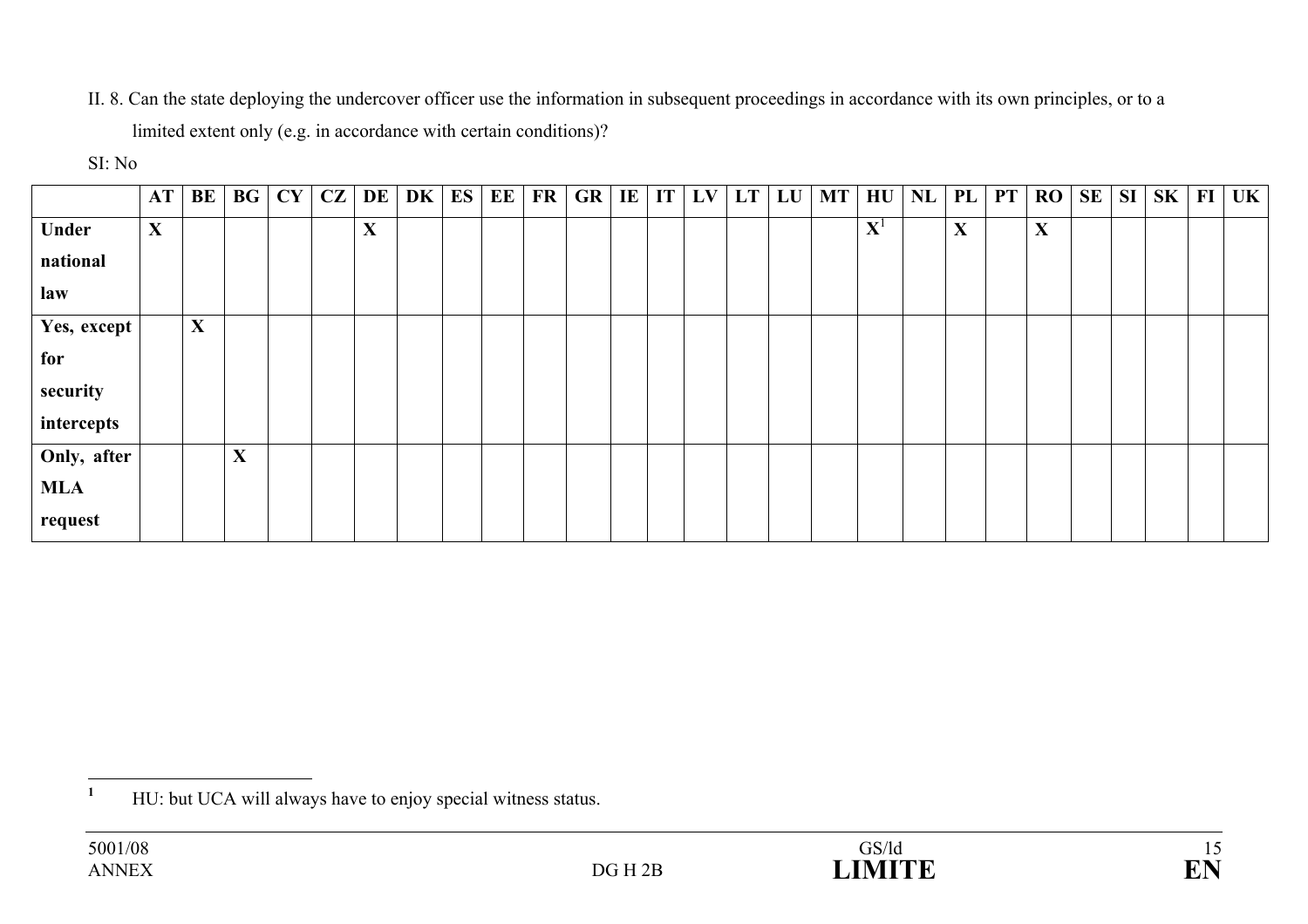II. 8. Can the state deploying the undercover officer use the information in subsequent proceedings in accordance with its own principles, or to a limited extent only (e.g. in accordance with certain conditions)?

#### SI: No

|             | AT | BE           | <b>BG</b> | CY | $CZ$ DE | DK | ES | EE | FR | GR | $\mathbf{I}$ <b>E</b> | IT | LV | $LT$ LU | $MT$ $HU$   | NL | PL           | PT | RO          | <b>SE</b> | <b>SI</b> | SK | FI | UK |
|-------------|----|--------------|-----------|----|---------|----|----|----|----|----|-----------------------|----|----|---------|-------------|----|--------------|----|-------------|-----------|-----------|----|----|----|
| Under       | X  |              |           |    | X       |    |    |    |    |    |                       |    |    |         | ${\bf X}^1$ |    | $\mathbf{X}$ |    | $\mathbf X$ |           |           |    |    |    |
| national    |    |              |           |    |         |    |    |    |    |    |                       |    |    |         |             |    |              |    |             |           |           |    |    |    |
| law         |    |              |           |    |         |    |    |    |    |    |                       |    |    |         |             |    |              |    |             |           |           |    |    |    |
| Yes, except |    | $\mathbf{X}$ |           |    |         |    |    |    |    |    |                       |    |    |         |             |    |              |    |             |           |           |    |    |    |
| for         |    |              |           |    |         |    |    |    |    |    |                       |    |    |         |             |    |              |    |             |           |           |    |    |    |
| security    |    |              |           |    |         |    |    |    |    |    |                       |    |    |         |             |    |              |    |             |           |           |    |    |    |
| intercepts  |    |              |           |    |         |    |    |    |    |    |                       |    |    |         |             |    |              |    |             |           |           |    |    |    |
| Only, after |    |              | X         |    |         |    |    |    |    |    |                       |    |    |         |             |    |              |    |             |           |           |    |    |    |
| <b>MLA</b>  |    |              |           |    |         |    |    |    |    |    |                       |    |    |         |             |    |              |    |             |           |           |    |    |    |
| request     |    |              |           |    |         |    |    |    |    |    |                       |    |    |         |             |    |              |    |             |           |           |    |    |    |

<sup>&</sup>lt;sup>1</sup> HU: but UCA will always have to enjoy special witness status.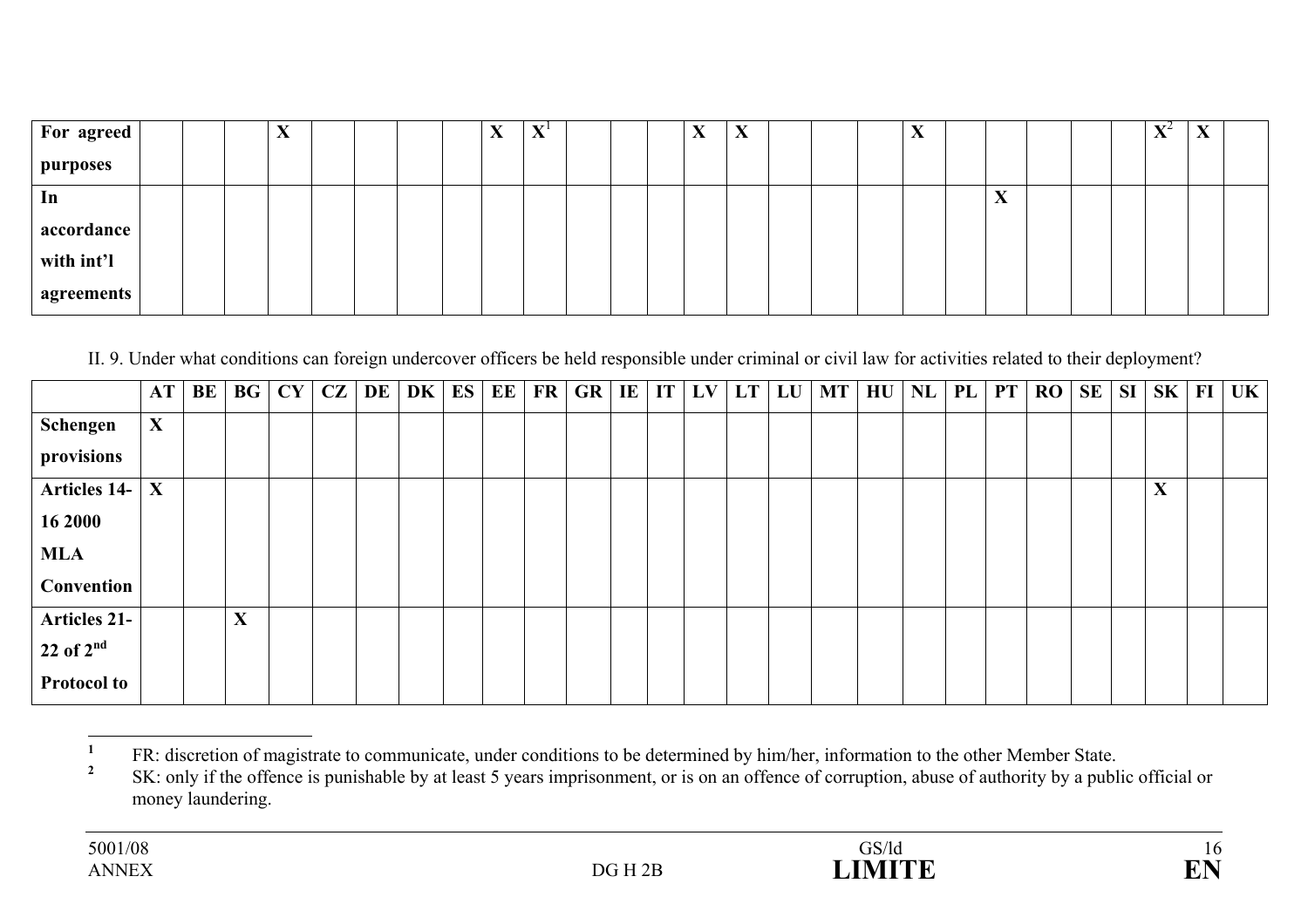| <b>For agreed</b> |  | $\Lambda$ |  |  | w.<br>△ | $\mathbf{X}$ |  | $\Lambda$ | $\boldsymbol{\Lambda}$ |  | $\Lambda$ |                        |  | $\mathbf{V}^{\mathcal{L}}$<br>$\Lambda$ | $\overline{ }$ |  |
|-------------------|--|-----------|--|--|---------|--------------|--|-----------|------------------------|--|-----------|------------------------|--|-----------------------------------------|----------------|--|
| <i>purposes</i>   |  |           |  |  |         |              |  |           |                        |  |           |                        |  |                                         |                |  |
| 1n                |  |           |  |  |         |              |  |           |                        |  |           | $\boldsymbol{\Lambda}$ |  |                                         |                |  |
| accordance        |  |           |  |  |         |              |  |           |                        |  |           |                        |  |                                         |                |  |
| with int'l        |  |           |  |  |         |              |  |           |                        |  |           |                        |  |                                         |                |  |
| agreements        |  |           |  |  |         |              |  |           |                        |  |           |                        |  |                                         |                |  |

II. 9. Under what conditions can foreign undercover officers be held responsible under criminal or civil law for activities related to their deployment?

|                     | <b>AT</b> | BE | BG | CY | CZ | <b>DE</b> | DK | ES | EE | <b>FR</b> | GR | $\mathbf{I}$ |  | $\vert$ IT $\vert$ LV $\vert$ LT $\vert$ LU $\vert$ | <b>MT</b> | $H\mathrm{U}$ | <b>NL</b> | <b>PL</b> | PT | RO | <b>SE</b> | <b>SI</b> | $SK$ FI     | UK |
|---------------------|-----------|----|----|----|----|-----------|----|----|----|-----------|----|--------------|--|-----------------------------------------------------|-----------|---------------|-----------|-----------|----|----|-----------|-----------|-------------|----|
| Schengen            | X         |    |    |    |    |           |    |    |    |           |    |              |  |                                                     |           |               |           |           |    |    |           |           |             |    |
| provisions          |           |    |    |    |    |           |    |    |    |           |    |              |  |                                                     |           |               |           |           |    |    |           |           |             |    |
| <b>Articles 14-</b> | X         |    |    |    |    |           |    |    |    |           |    |              |  |                                                     |           |               |           |           |    |    |           |           | $\mathbf X$ |    |
| 16 2000             |           |    |    |    |    |           |    |    |    |           |    |              |  |                                                     |           |               |           |           |    |    |           |           |             |    |
| <b>MLA</b>          |           |    |    |    |    |           |    |    |    |           |    |              |  |                                                     |           |               |           |           |    |    |           |           |             |    |
| Convention          |           |    |    |    |    |           |    |    |    |           |    |              |  |                                                     |           |               |           |           |    |    |           |           |             |    |
| <b>Articles 21-</b> |           |    | X  |    |    |           |    |    |    |           |    |              |  |                                                     |           |               |           |           |    |    |           |           |             |    |
| $22$ of $2nd$       |           |    |    |    |    |           |    |    |    |           |    |              |  |                                                     |           |               |           |           |    |    |           |           |             |    |
| <b>Protocol to</b>  |           |    |    |    |    |           |    |    |    |           |    |              |  |                                                     |           |               |           |           |    |    |           |           |             |    |

**<sup>1</sup>** FR: discretion of magistrate to communicate, under conditions to be determined by him/her, information to the other Member State.

**<sup>2</sup>** SK: only if the offence is punishable by at least 5 years imprisonment, or is on an offence of corruption, abuse of authority by a public official or money laundering.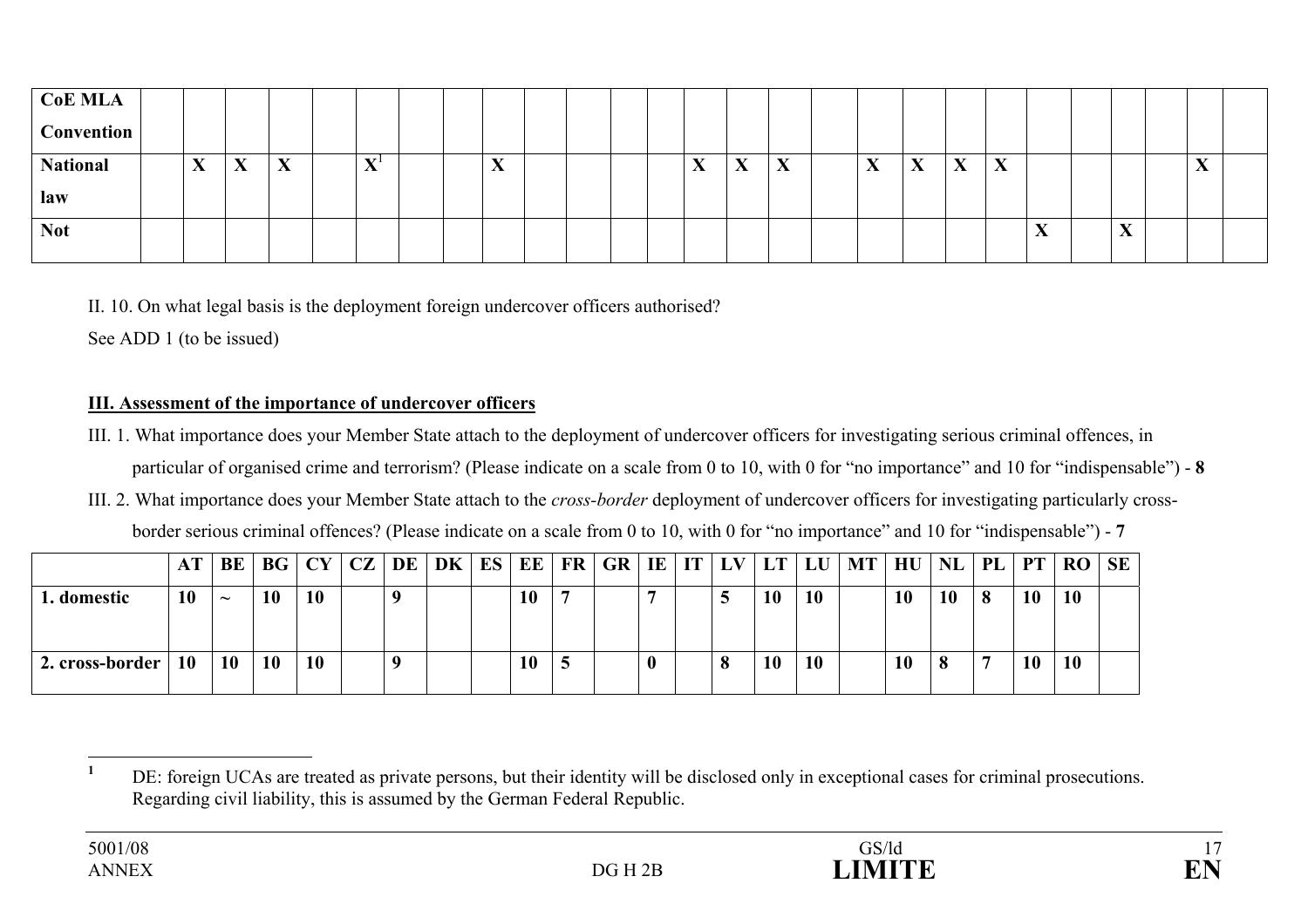| <b>CoE MLA</b>                                         |              |                           |                                                                          |                                          |                                                                     |
|--------------------------------------------------------|--------------|---------------------------|--------------------------------------------------------------------------|------------------------------------------|---------------------------------------------------------------------|
| <b>Convention</b>                                      |              |                           |                                                                          |                                          |                                                                     |
| <b>National</b><br>$\mathbf{v}$<br>X<br>X<br>$\Lambda$ | $X^{\prime}$ | $\mathbf{v}$<br>$\Lambda$ | $\mathbf{v}$<br>X<br>$\mathbf{v}$<br>$\boldsymbol{\Lambda}$<br>$\Lambda$ | X<br>X<br>X<br>$\mathbf{v}$<br>$\Lambda$ | $\mathbf{v}$<br>$\Lambda$                                           |
| law                                                    |              |                           |                                                                          |                                          |                                                                     |
| <b>Not</b>                                             |              |                           |                                                                          |                                          | $\mathbf{v}$<br>$\mathbf{r}$<br>$\boldsymbol{\Lambda}$<br>$\Lambda$ |

II. 10. On what legal basis is the deployment foreign undercover officers authorised?

See ADD 1 (to be issued)

### **III. Assessment of the importance of undercover officers**

- III. 1. What importance does your Member State attach to the deployment of undercover officers for investigating serious criminal offences, in particular of organised crime and terrorism? (Please indicate on a scale from 0 to 10, with 0 for "no importance" and 10 for "indispensable") - **8**
- III. 2. What importance does your Member State attach to the *cross-border* deployment of undercover officers for investigating particularly crossborder serious criminal offences? (Please indicate on a scale from 0 to 10, with 0 for "no importance" and 10 for "indispensable") - **7**

|                 |           | BE                    | BG        | CY CZ DE |  | DK ES EE |    | FR   GR |  |   |    |           | IE   IT   LV   LT   LU   MT | $H\mathrm{U}$   NL |    | PL |    | $PT$ RO SE |  |
|-----------------|-----------|-----------------------|-----------|----------|--|----------|----|---------|--|---|----|-----------|-----------------------------|--------------------|----|----|----|------------|--|
| . domestic      | 10        | $\tilde{\phantom{a}}$ | 10        | 10       |  |          | 10 |         |  |   | 10 | <b>10</b> |                             | 10                 | 10 |    | 10 | <b>10</b>  |  |
| 2. cross-border | <b>10</b> | <b>10</b>             | <b>10</b> | 10       |  |          | 10 |         |  | 0 | 10 | <b>10</b> |                             | 10                 | 8  |    | 10 | <b>10</b>  |  |

<sup>&</sup>lt;sup>1</sup> DE: foreign UCAs are treated as private persons, but their identity will be disclosed only in exceptional cases for criminal prosecutions. Regarding civil liability, this is assumed by the German Federal Republic.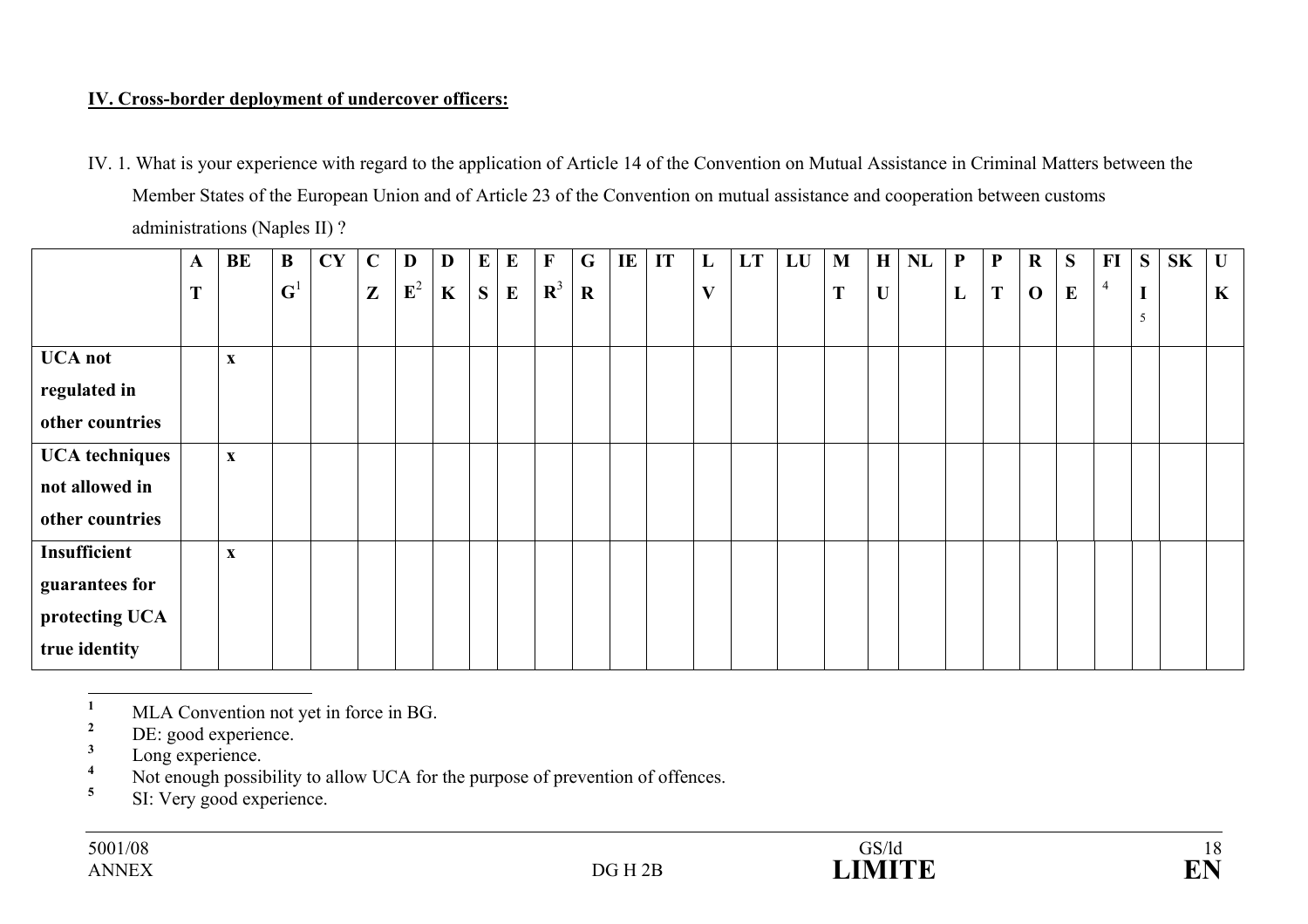## **IV. Cross-border deployment of undercover officers:**

|                       |              | $\alpha$ and $\alpha$ and $\alpha$ and $\alpha$ and $\alpha$ and $\alpha$ and $\alpha$ and $\alpha$ and $\alpha$ and $\alpha$ and $\alpha$ and $\alpha$ and $\alpha$ and $\alpha$ and $\alpha$ and $\alpha$ and $\alpha$ and $\alpha$ and $\alpha$ and $\alpha$ and $\alpha$ and $\alpha$ and $\alpha$ and $\alpha$ and $\alpha$ |                |           |              |                |   |          |          |              |             |    |    |   |    |    |   |             |    |              |              |              |          |           |             |    |              |
|-----------------------|--------------|----------------------------------------------------------------------------------------------------------------------------------------------------------------------------------------------------------------------------------------------------------------------------------------------------------------------------------|----------------|-----------|--------------|----------------|---|----------|----------|--------------|-------------|----|----|---|----|----|---|-------------|----|--------------|--------------|--------------|----------|-----------|-------------|----|--------------|
|                       | $\mathbf{A}$ | BE                                                                                                                                                                                                                                                                                                                               | $\bf{B}$       | <b>CY</b> | $\mathbf C$  | D              | D | $\bf{E}$ | $\bf{E}$ | $\mathbf{F}$ | $\mathbf G$ | IE | IT | L | LT | LU | M | H           | NL | $\mathbf{P}$ | $\mathbf{P}$ | $\bf R$      | S        | $\bf{FI}$ | S           | SK | $\mathbf{U}$ |
|                       | T            |                                                                                                                                                                                                                                                                                                                                  | $\mathbf{G}^1$ |           | $\mathbf{Z}$ | $\mathbf{E}^2$ | K | S        | $\bf{E}$ | ${\bf R}^3$  | $\mathbf R$ |    |    | V |    |    | T | $\mathbf U$ |    | L            | T            | $\mathbf{O}$ | $\bf{E}$ | 4         | $\mathbf I$ |    | $\mathbf K$  |
|                       |              |                                                                                                                                                                                                                                                                                                                                  |                |           |              |                |   |          |          |              |             |    |    |   |    |    |   |             |    |              |              |              |          |           | 5           |    |              |
| <b>UCA</b> not        |              | $\boldsymbol{\mathrm{X}}$                                                                                                                                                                                                                                                                                                        |                |           |              |                |   |          |          |              |             |    |    |   |    |    |   |             |    |              |              |              |          |           |             |    |              |
| regulated in          |              |                                                                                                                                                                                                                                                                                                                                  |                |           |              |                |   |          |          |              |             |    |    |   |    |    |   |             |    |              |              |              |          |           |             |    |              |
| other countries       |              |                                                                                                                                                                                                                                                                                                                                  |                |           |              |                |   |          |          |              |             |    |    |   |    |    |   |             |    |              |              |              |          |           |             |    |              |
| <b>UCA</b> techniques |              | $\boldsymbol{\mathrm{X}}$                                                                                                                                                                                                                                                                                                        |                |           |              |                |   |          |          |              |             |    |    |   |    |    |   |             |    |              |              |              |          |           |             |    |              |
| not allowed in        |              |                                                                                                                                                                                                                                                                                                                                  |                |           |              |                |   |          |          |              |             |    |    |   |    |    |   |             |    |              |              |              |          |           |             |    |              |
| other countries       |              |                                                                                                                                                                                                                                                                                                                                  |                |           |              |                |   |          |          |              |             |    |    |   |    |    |   |             |    |              |              |              |          |           |             |    |              |
| Insufficient          |              | $\boldsymbol{\mathrm{X}}$                                                                                                                                                                                                                                                                                                        |                |           |              |                |   |          |          |              |             |    |    |   |    |    |   |             |    |              |              |              |          |           |             |    |              |
| guarantees for        |              |                                                                                                                                                                                                                                                                                                                                  |                |           |              |                |   |          |          |              |             |    |    |   |    |    |   |             |    |              |              |              |          |           |             |    |              |
| protecting UCA        |              |                                                                                                                                                                                                                                                                                                                                  |                |           |              |                |   |          |          |              |             |    |    |   |    |    |   |             |    |              |              |              |          |           |             |    |              |
| true identity         |              |                                                                                                                                                                                                                                                                                                                                  |                |           |              |                |   |          |          |              |             |    |    |   |    |    |   |             |    |              |              |              |          |           |             |    |              |

IV. 1. What is your experience with regard to the application of Article 14 of the Convention on Mutual Assistance in Criminal Matters between the Member States of the European Union and of Article 23 of the Convention on mutual assistance and cooperation between customs administrations (Naples II) ?

 $\frac{1}{2}$  MLA Convention not yet in force in BG.

 $\frac{2}{3}$  DE: good experience.

 $\frac{3}{4}$  Long experience.

<sup>4</sup> Not enough possibility to allow UCA for the purpose of prevention of offences.

**<sup>5</sup>** SI: Very good experience.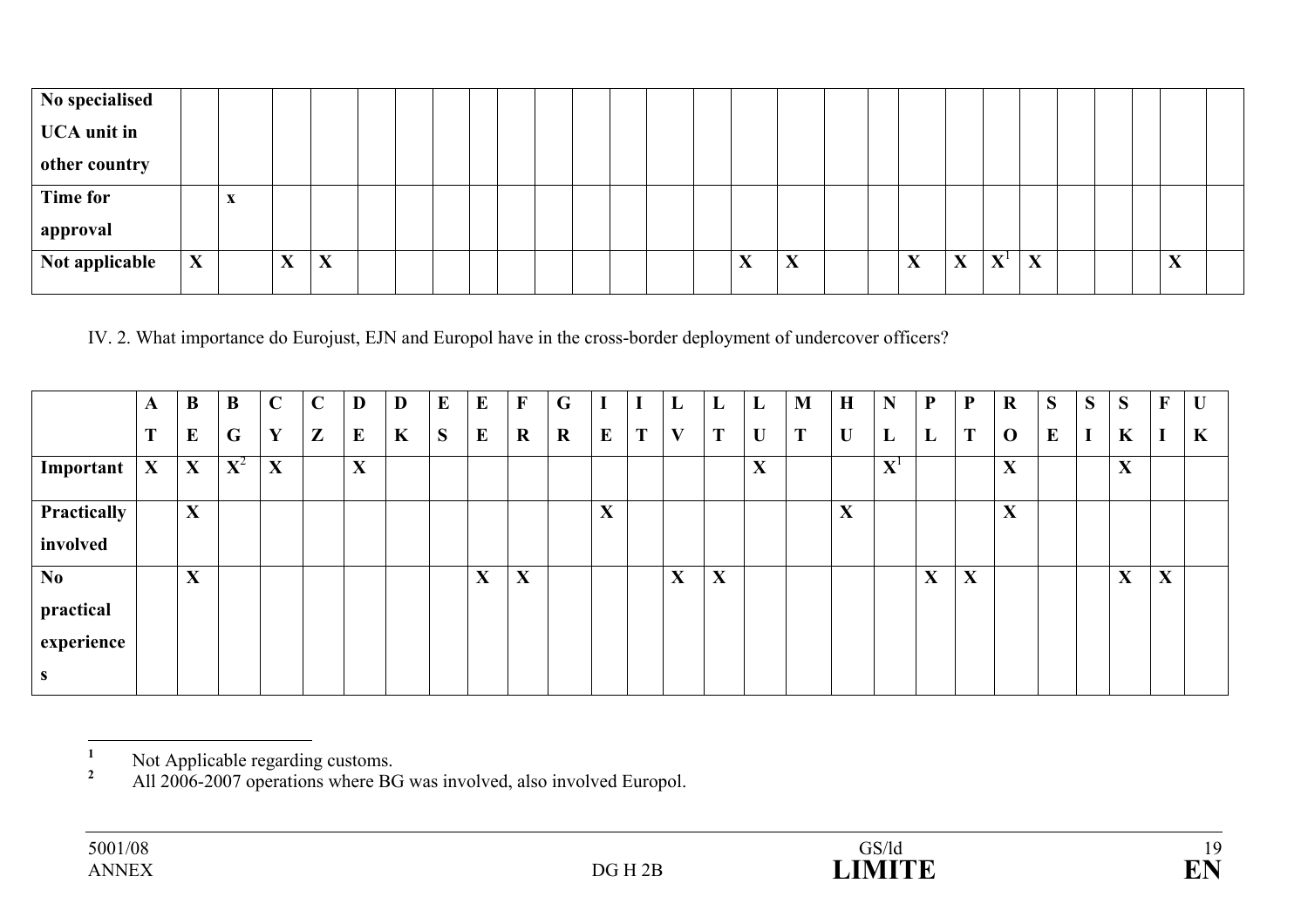| No specialised      |   |   |              |   |  |  |  |  |  |                   |                           |  |                                        |   |       |   |  |                           |  |
|---------------------|---|---|--------------|---|--|--|--|--|--|-------------------|---------------------------|--|----------------------------------------|---|-------|---|--|---------------------------|--|
| $\vert$ UCA unit in |   |   |              |   |  |  |  |  |  |                   |                           |  |                                        |   |       |   |  |                           |  |
| other country       |   |   |              |   |  |  |  |  |  |                   |                           |  |                                        |   |       |   |  |                           |  |
| <b>Time for</b>     |   | л |              |   |  |  |  |  |  |                   |                           |  |                                        |   |       |   |  |                           |  |
| approval            |   |   |              |   |  |  |  |  |  |                   |                           |  |                                        |   |       |   |  |                           |  |
| Not applicable      | X |   | $\mathbf{v}$ | X |  |  |  |  |  | $\mathbf{v}$<br>A | $\mathbf{v}$<br>$\Lambda$ |  | $\mathbf{v}$<br>$\boldsymbol{\Lambda}$ | X | $X^1$ | X |  | $\mathbf{v}$<br>$\Lambda$ |  |
|                     |   |   |              |   |  |  |  |  |  |                   |                           |  |                                        |   |       |   |  |                           |  |

## IV. 2. What importance do Eurojust, EJN and Europol have in the cross-border deployment of undercover officers?

|                | A           | B | B           | $\mathbf C$ | $\Gamma$     | D        | D | $\bf{E}$ | E | $\mathbf{F}$ | G           |   |   | L           | L | L                 | M | $\mathbf H$ | N                 | ${\bf P}$ | ${\bf P}$ | $\mathbf R$                            | S | S | S | $\mathbf{F}$                           | $\mathbf{U}$ |
|----------------|-------------|---|-------------|-------------|--------------|----------|---|----------|---|--------------|-------------|---|---|-------------|---|-------------------|---|-------------|-------------------|-----------|-----------|----------------------------------------|---|---|---|----------------------------------------|--------------|
|                | T           | E | G           | Y           | $\mathbf{Z}$ | $\bf{E}$ | K | S        | E | $\mathbf R$  | $\mathbf R$ | E | T | V           | T | U                 | T | U           | L                 | L         | T         | $\mathbf 0$                            | E |   | K |                                        | $\mathbf K$  |
| Important      | $\mathbf X$ | X | ${\bf X}^2$ | $\mathbf X$ |              | X        |   |          |   |              |             |   |   |             |   | $\mathbf{v}$<br>A |   |             | ${\bf X}^{\rm l}$ |           |           | X                                      |   |   | X |                                        |              |
| Practically    |             | X |             |             |              |          |   |          |   |              |             | X |   |             |   |                   |   | X           |                   |           |           | $\mathbf{v}$<br>$\boldsymbol{\Lambda}$ |   |   |   |                                        |              |
| involved       |             |   |             |             |              |          |   |          |   |              |             |   |   |             |   |                   |   |             |                   |           |           |                                        |   |   |   |                                        |              |
| N <sub>0</sub> |             | X |             |             |              |          |   |          | X | X            |             |   |   | $\mathbf X$ | X |                   |   |             |                   | X         | X         |                                        |   |   | X | $\mathbf{v}$<br>$\boldsymbol{\Lambda}$ |              |
| practical      |             |   |             |             |              |          |   |          |   |              |             |   |   |             |   |                   |   |             |                   |           |           |                                        |   |   |   |                                        |              |
| experience     |             |   |             |             |              |          |   |          |   |              |             |   |   |             |   |                   |   |             |                   |           |           |                                        |   |   |   |                                        |              |
| <b>S</b>       |             |   |             |             |              |          |   |          |   |              |             |   |   |             |   |                   |   |             |                   |           |           |                                        |   |   |   |                                        |              |

<sup>2</sup> All 2006-2007 operations where BG was involved, also involved Europol.

<sup>&</sup>lt;sup>1</sup> Not Applicable regarding customs.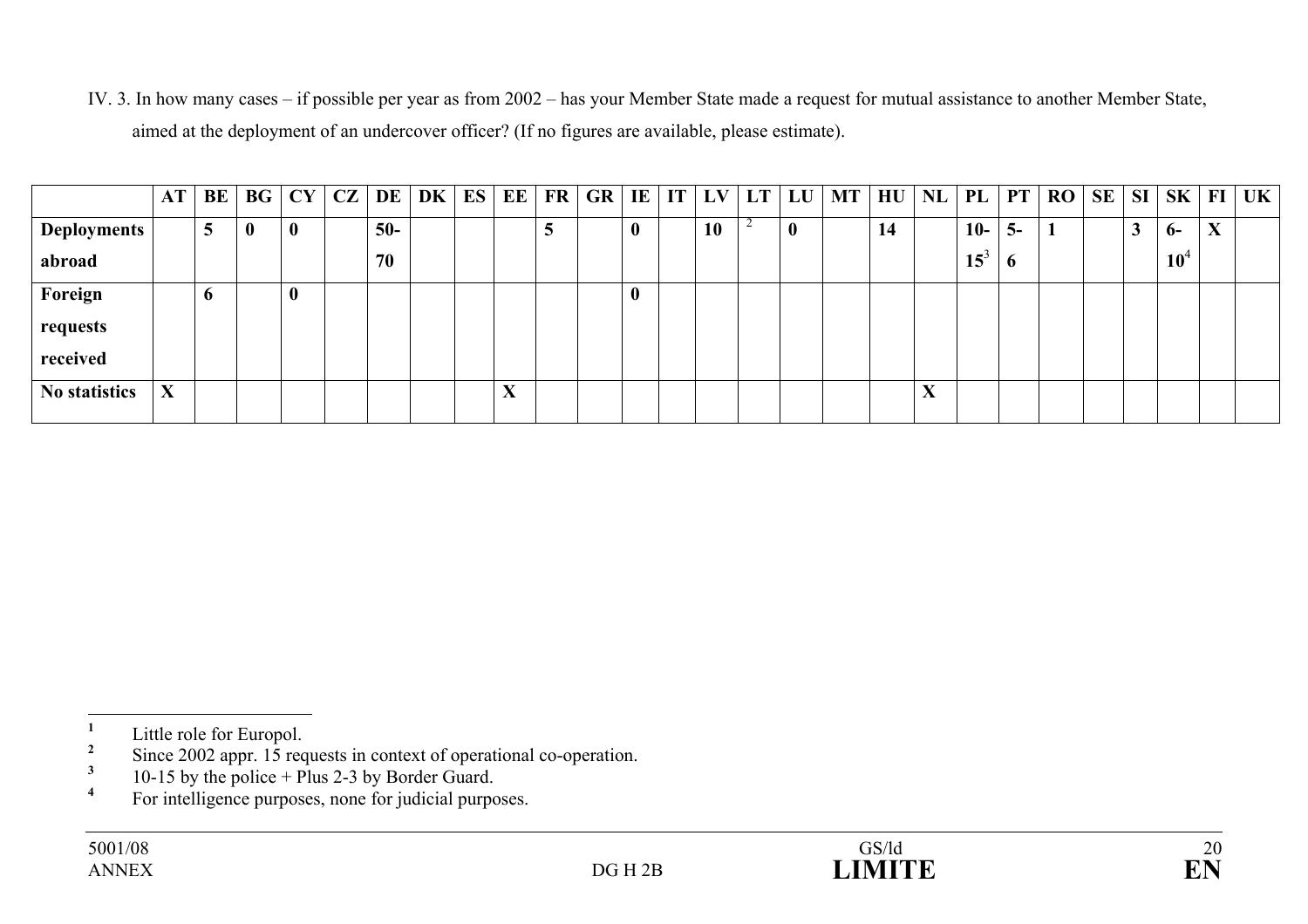IV. 3. In how many cases – if possible per year as from 2002 – has your Member State made a request for mutual assistance to another Member State, aimed at the deployment of an undercover officer? (If no figures are available, please estimate).

|                    | AT | BE          |                  | BG   CY     | CZ | DE    | DK | ES | EE                                     | FR | <b>GR</b> | IE               | $IT$ $LV$ | LT | LU       | <b>MT</b> | HU |                   | $NL$ PL | PT       | RO | SE |                    | $\vert$ SI $\vert$ SK $\vert$ FI $\vert$ |                                        | UK |
|--------------------|----|-------------|------------------|-------------|----|-------|----|----|----------------------------------------|----|-----------|------------------|-----------|----|----------|-----------|----|-------------------|---------|----------|----|----|--------------------|------------------------------------------|----------------------------------------|----|
| <b>Deployments</b> |    | 5           | $\boldsymbol{0}$ | $\mathbf 0$ |    | $50-$ |    |    |                                        | ັ  |           | $\boldsymbol{0}$ | <b>10</b> |    | $\bf{0}$ |           | 14 |                   | $10-$   | $5-$     |    |    | $\rightarrow$<br>J | $6-$                                     | $\mathbf{v}$<br>$\boldsymbol{\Lambda}$ |    |
| abroad             |    |             |                  |             |    | 70    |    |    |                                        |    |           |                  |           |    |          |           |    |                   | $15^3$  | $\bm{0}$ |    |    |                    | $10^4$                                   |                                        |    |
| Foreign            |    | $\mathbf o$ |                  | $\bf{0}$    |    |       |    |    |                                        |    |           | $\boldsymbol{0}$ |           |    |          |           |    |                   |         |          |    |    |                    |                                          |                                        |    |
| requests           |    |             |                  |             |    |       |    |    |                                        |    |           |                  |           |    |          |           |    |                   |         |          |    |    |                    |                                          |                                        |    |
| received           |    |             |                  |             |    |       |    |    |                                        |    |           |                  |           |    |          |           |    |                   |         |          |    |    |                    |                                          |                                        |    |
| No statistics      | X  |             |                  |             |    |       |    |    | $\mathbf{v}$<br>$\boldsymbol{\Lambda}$ |    |           |                  |           |    |          |           |    | $\mathbf{v}$<br>A |         |          |    |    |                    |                                          |                                        |    |

 $\frac{1}{2}$  Little role for Europol.

<sup>&</sup>lt;sup>2</sup> Since 2002 appr. 15 requests in context of operational co-operation.<br><sup>3</sup> 10.15 by the police  $\frac{1}{2}$  Plug 2.2 by Border Guard.

 $\frac{3}{4}$  10-15 by the police + Plus 2-3 by Border Guard.

**<sup>4</sup>** For intelligence purposes, none for judicial purposes.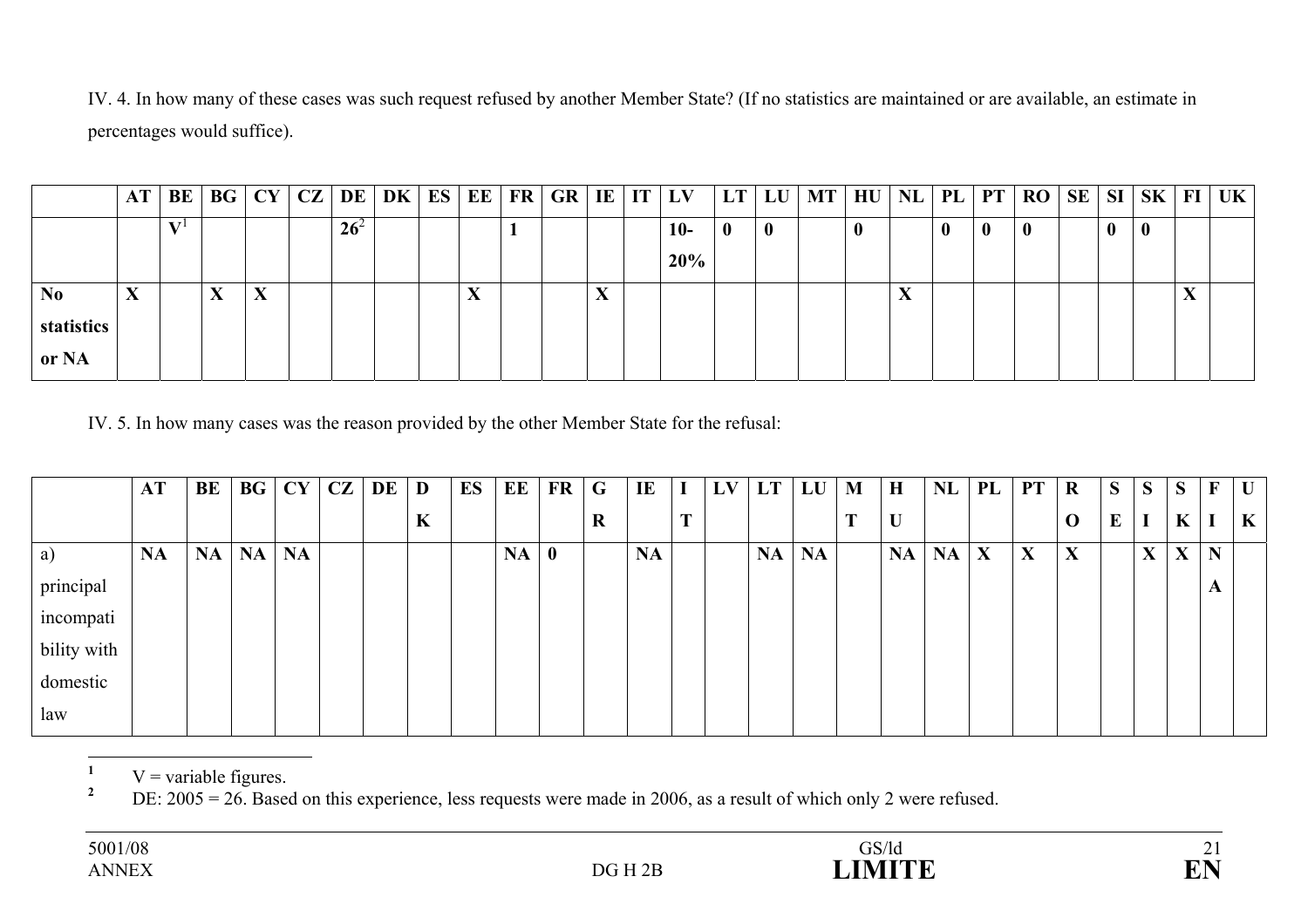IV. 4. In how many of these cases was such request refused by another Member State? (If no statistics are maintained or are available, an estimate in percentages would suffice).

|                | AT | BE |                   | BG   CY |        | $ {\bf CZ} {\bf DE} {\bf DK} $ |                           |  |  | $\vert$ ES $\vert$ EE $\vert$ FR $\vert$ GR $\vert$ IE $\vert$ IT $\vert$ LV $\vert$ | LT           | LU       | <b>MT</b> | HU |            |              |              | $NL$   PL   PT   RO   SE   SI   SK   FI   UK |  |          |                          |  |
|----------------|----|----|-------------------|---------|--------|--------------------------------|---------------------------|--|--|--------------------------------------------------------------------------------------|--------------|----------|-----------|----|------------|--------------|--------------|----------------------------------------------|--|----------|--------------------------|--|
|                |    |    |                   |         | $26^2$ |                                |                           |  |  | $10-$                                                                                | $\mathbf{0}$ | $\bf{0}$ |           | v  |            | $\mathbf{0}$ | $\mathbf{0}$ | 0                                            |  | $\bf{0}$ |                          |  |
|                |    |    |                   |         |        |                                |                           |  |  | 20%                                                                                  |              |          |           |    |            |              |              |                                              |  |          |                          |  |
| N <sub>0</sub> | X  |    | $\mathbf{v}$<br>Δ | X       |        |                                | $\mathbf{v}$<br>$\Lambda$ |  |  |                                                                                      |              |          |           |    | $\sqrt{2}$ |              |              |                                              |  |          | $\mathbf{v}$<br>$\Delta$ |  |
| statistics     |    |    |                   |         |        |                                |                           |  |  |                                                                                      |              |          |           |    |            |              |              |                                              |  |          |                          |  |
| or NA          |    |    |                   |         |        |                                |                           |  |  |                                                                                      |              |          |           |    |            |              |              |                                              |  |          |                          |  |

IV. 5. In how many cases was the reason provided by the other Member State for the refusal:

|             | <b>AT</b> | BE        | $\bf{B}$ <b>G</b> | CY        | CZ | $DE$   D |   | ES | EE        | <b>FR</b>   | G | IE        | $\bf{I}$   | LV | LT        | LU        | M | $\bf H$   | NL        | PL | <b>PT</b>   | $\mathbf R$ | S | S            | S           | $\mathbf{F}$ | $\mathbf U$  |
|-------------|-----------|-----------|-------------------|-----------|----|----------|---|----|-----------|-------------|---|-----------|------------|----|-----------|-----------|---|-----------|-----------|----|-------------|-------------|---|--------------|-------------|--------------|--------------|
|             |           |           |                   |           |    |          | K |    |           |             | R |           | <b>TIP</b> |    |           |           | m | U         |           |    |             | $\mathbf 0$ | E | I            | $\mathbf K$ | I            | $\mathbf{K}$ |
| a)          | <b>NA</b> | <b>NA</b> | <b>NA</b>         | <b>NA</b> |    |          |   |    | <b>NA</b> | $\mathbf 0$ |   | <b>NA</b> |            |    | <b>NA</b> | <b>NA</b> |   | <b>NA</b> | <b>NA</b> | X  | $\mathbf X$ | X           |   | $\mathbf{X}$ | $\mathbf X$ | $\mathbf N$  |              |
| principal   |           |           |                   |           |    |          |   |    |           |             |   |           |            |    |           |           |   |           |           |    |             |             |   |              |             | $\mathbf{A}$ |              |
| incompati   |           |           |                   |           |    |          |   |    |           |             |   |           |            |    |           |           |   |           |           |    |             |             |   |              |             |              |              |
| bility with |           |           |                   |           |    |          |   |    |           |             |   |           |            |    |           |           |   |           |           |    |             |             |   |              |             |              |              |
| domestic    |           |           |                   |           |    |          |   |    |           |             |   |           |            |    |           |           |   |           |           |    |             |             |   |              |             |              |              |
| law         |           |           |                   |           |    |          |   |    |           |             |   |           |            |    |           |           |   |           |           |    |             |             |   |              |             |              |              |

<sup>1</sup> V = variable figures.<br><sup>2</sup> DE: 2005 = 26 Base

**<sup>2</sup>** DE: 2005 = 26. Based on this experience, less requests were made in 2006, as a result of which only 2 were refused.

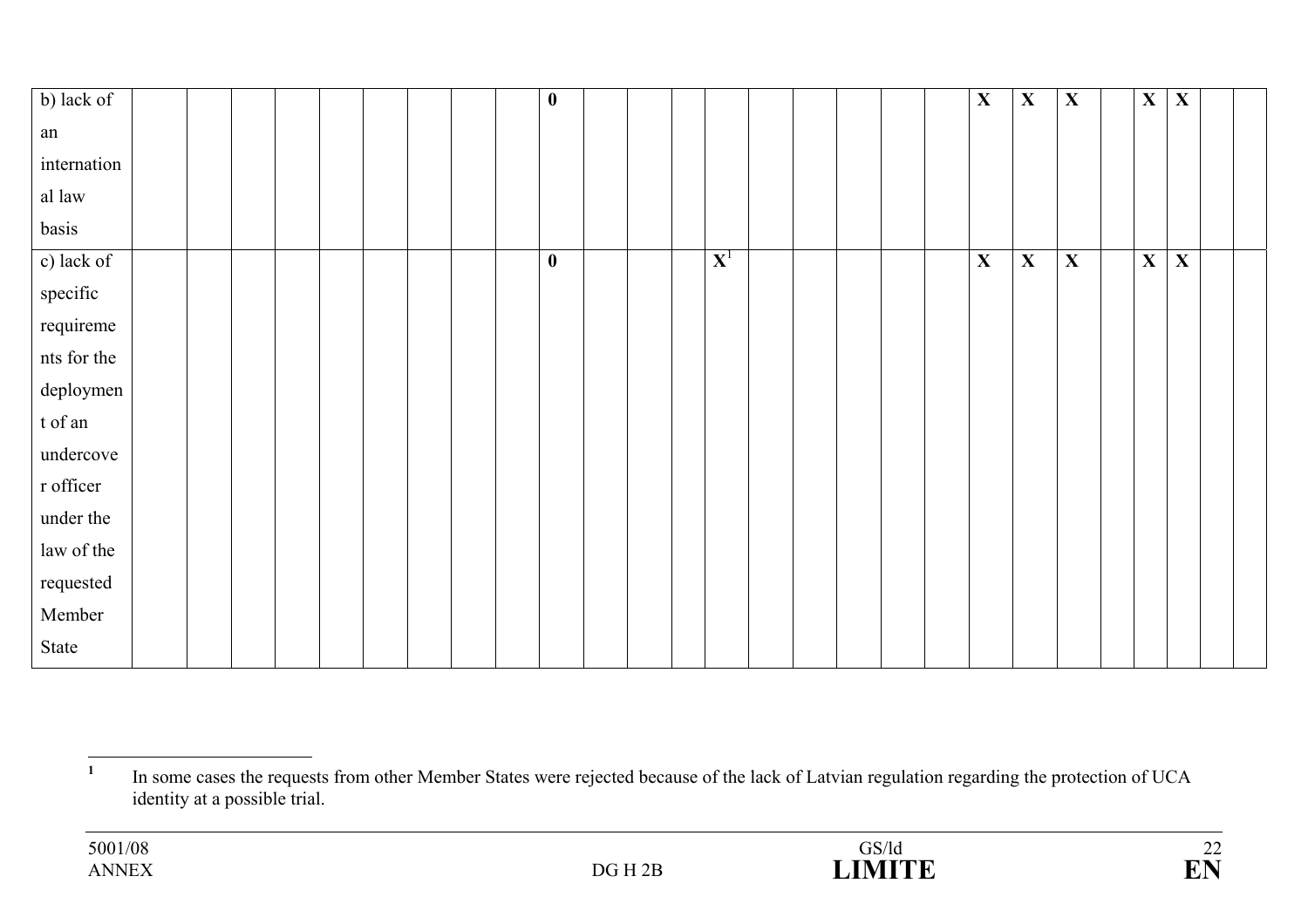| b) lack of  |  |  |  |  | $\boldsymbol{0}$ |  |             |  |  | $\mathbf X$ | $\mathbf X$ | $\mathbf X$ | $\mathbf X$ | $\mathbf X$ |  |
|-------------|--|--|--|--|------------------|--|-------------|--|--|-------------|-------------|-------------|-------------|-------------|--|
| ${\rm an}$  |  |  |  |  |                  |  |             |  |  |             |             |             |             |             |  |
| internation |  |  |  |  |                  |  |             |  |  |             |             |             |             |             |  |
| al law      |  |  |  |  |                  |  |             |  |  |             |             |             |             |             |  |
| basis       |  |  |  |  |                  |  |             |  |  |             |             |             |             |             |  |
| c) lack of  |  |  |  |  | $\bf{0}$         |  | ${\bf X}^1$ |  |  | $\mathbf X$ | X           | $\mathbf X$ | $\mathbf X$ | $\mathbf X$ |  |
| specific    |  |  |  |  |                  |  |             |  |  |             |             |             |             |             |  |
| requireme   |  |  |  |  |                  |  |             |  |  |             |             |             |             |             |  |
| nts for the |  |  |  |  |                  |  |             |  |  |             |             |             |             |             |  |
| deploymen   |  |  |  |  |                  |  |             |  |  |             |             |             |             |             |  |
| t of an     |  |  |  |  |                  |  |             |  |  |             |             |             |             |             |  |
| undercove   |  |  |  |  |                  |  |             |  |  |             |             |             |             |             |  |
| r officer   |  |  |  |  |                  |  |             |  |  |             |             |             |             |             |  |
| under the   |  |  |  |  |                  |  |             |  |  |             |             |             |             |             |  |
| law of the  |  |  |  |  |                  |  |             |  |  |             |             |             |             |             |  |
| requested   |  |  |  |  |                  |  |             |  |  |             |             |             |             |             |  |
| Member      |  |  |  |  |                  |  |             |  |  |             |             |             |             |             |  |
| State       |  |  |  |  |                  |  |             |  |  |             |             |             |             |             |  |

<sup>&</sup>lt;sup>1</sup> In some cases the requests from other Member States were rejected because of the lack of Latvian regulation regarding the protection of UCA identity at a possible trial.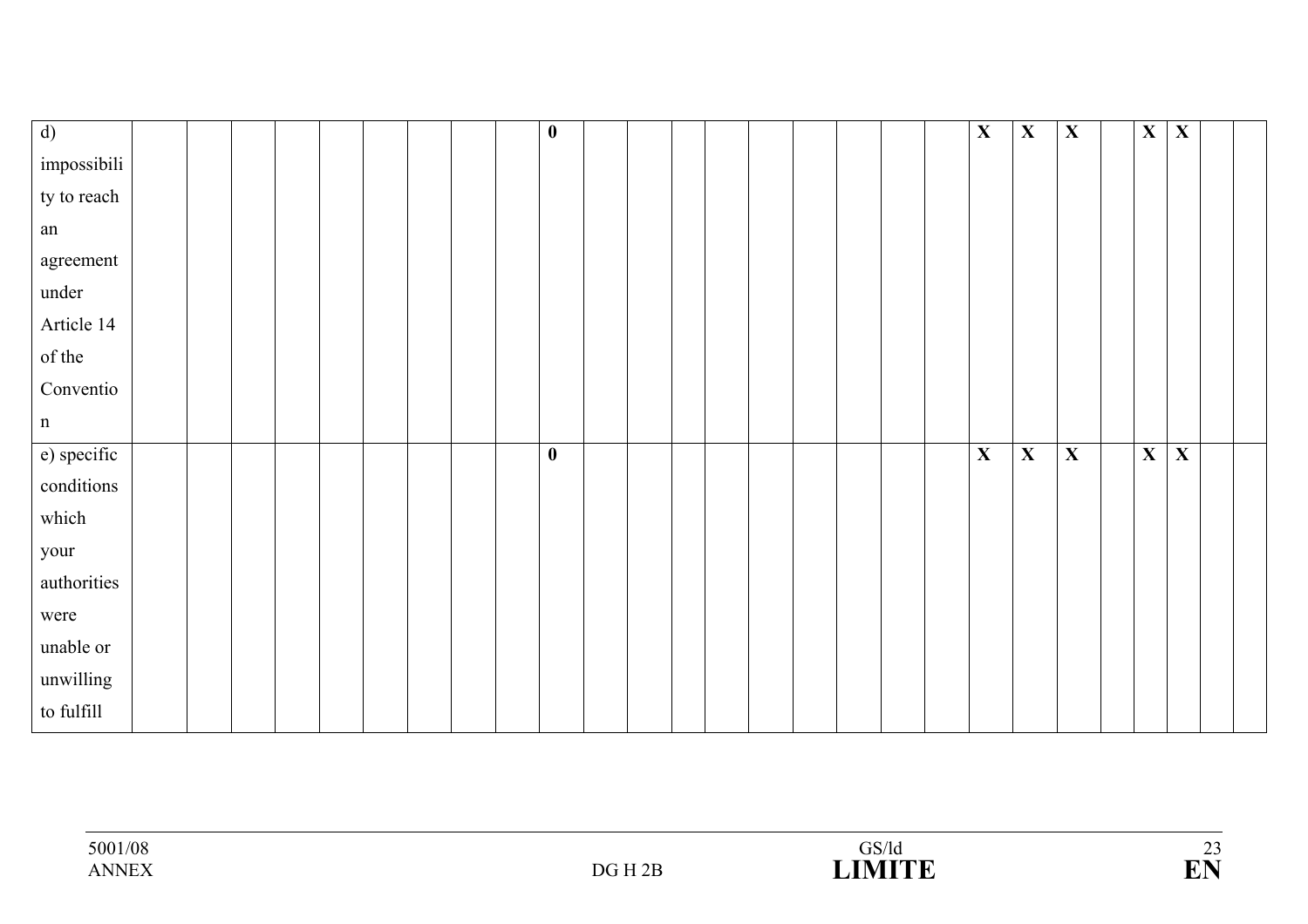| $\overline{d}$ |  |  |  |  | $\bf{0}$ |  |  |  |  | X            | $\mathbf{X}$ | $\mathbf X$ | $\mathbf{X}$            | $\overline{\mathbf{X}}$ |  |
|----------------|--|--|--|--|----------|--|--|--|--|--------------|--------------|-------------|-------------------------|-------------------------|--|
| impossibili    |  |  |  |  |          |  |  |  |  |              |              |             |                         |                         |  |
| ty to reach    |  |  |  |  |          |  |  |  |  |              |              |             |                         |                         |  |
| ${\rm an}$     |  |  |  |  |          |  |  |  |  |              |              |             |                         |                         |  |
| agreement      |  |  |  |  |          |  |  |  |  |              |              |             |                         |                         |  |
| under          |  |  |  |  |          |  |  |  |  |              |              |             |                         |                         |  |
| Article 14     |  |  |  |  |          |  |  |  |  |              |              |             |                         |                         |  |
| of the         |  |  |  |  |          |  |  |  |  |              |              |             |                         |                         |  |
| Conventio      |  |  |  |  |          |  |  |  |  |              |              |             |                         |                         |  |
| $\mathbf n$    |  |  |  |  |          |  |  |  |  |              |              |             |                         |                         |  |
| e) specific    |  |  |  |  | $\bf{0}$ |  |  |  |  | $\mathbf{X}$ | $\mathbf X$  | $\mathbf X$ | $\overline{\mathbf{X}}$ | $\overline{\mathbf{X}}$ |  |
| conditions     |  |  |  |  |          |  |  |  |  |              |              |             |                         |                         |  |
| which          |  |  |  |  |          |  |  |  |  |              |              |             |                         |                         |  |
| your           |  |  |  |  |          |  |  |  |  |              |              |             |                         |                         |  |
| authorities    |  |  |  |  |          |  |  |  |  |              |              |             |                         |                         |  |
| were           |  |  |  |  |          |  |  |  |  |              |              |             |                         |                         |  |
| unable or      |  |  |  |  |          |  |  |  |  |              |              |             |                         |                         |  |
| unwilling      |  |  |  |  |          |  |  |  |  |              |              |             |                         |                         |  |
| to fulfill     |  |  |  |  |          |  |  |  |  |              |              |             |                         |                         |  |

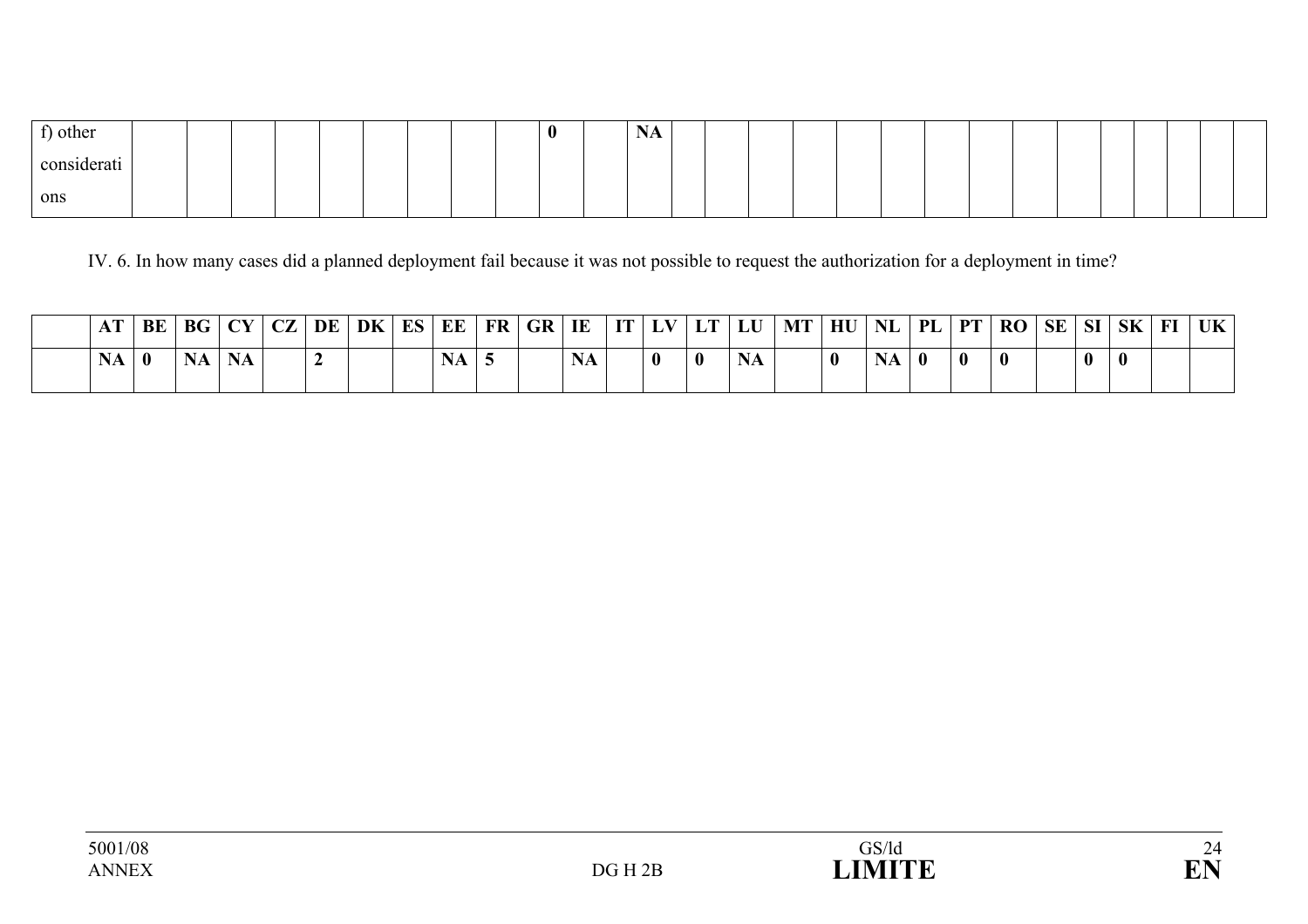| $\sim$<br>) other  |  |  |  |  | $\bf{0}$ | $ -$<br>- 19<br>TILT |  |  |  |  |  |  |  |  |
|--------------------|--|--|--|--|----------|----------------------|--|--|--|--|--|--|--|--|
| . .<br>considerati |  |  |  |  |          |                      |  |  |  |  |  |  |  |  |
| ons                |  |  |  |  |          |                      |  |  |  |  |  |  |  |  |

IV. 6. In how many cases did a planned deployment fail because it was not possible to request the authorization for a deployment in time?

|  |          |           |           |  | .'   BE   BG   CY   CZ   DE   DK   ES   EE   FR   GR   IE ' |           |  |           |              |          | $\vert$ IT $\vert$ LV $\vert$ LT $\vert$ LU $\vert$ MT $\vert$ HU $\vert$ NL $\vert$ PL $\vert$ PT $\vert$ |           |              |          | RO SE SI SK |  |  | $FI$   UK |
|--|----------|-----------|-----------|--|-------------------------------------------------------------|-----------|--|-----------|--------------|----------|------------------------------------------------------------------------------------------------------------|-----------|--------------|----------|-------------|--|--|-----------|
|  | $\bf{0}$ | <b>NA</b> | <b>NA</b> |  |                                                             | <b>NA</b> |  | <b>NA</b> | $\mathbf{0}$ | $\bf{0}$ |                                                                                                            | <b>NA</b> | $\mathbf{0}$ | $\bf{0}$ | $\bf{0}$    |  |  |           |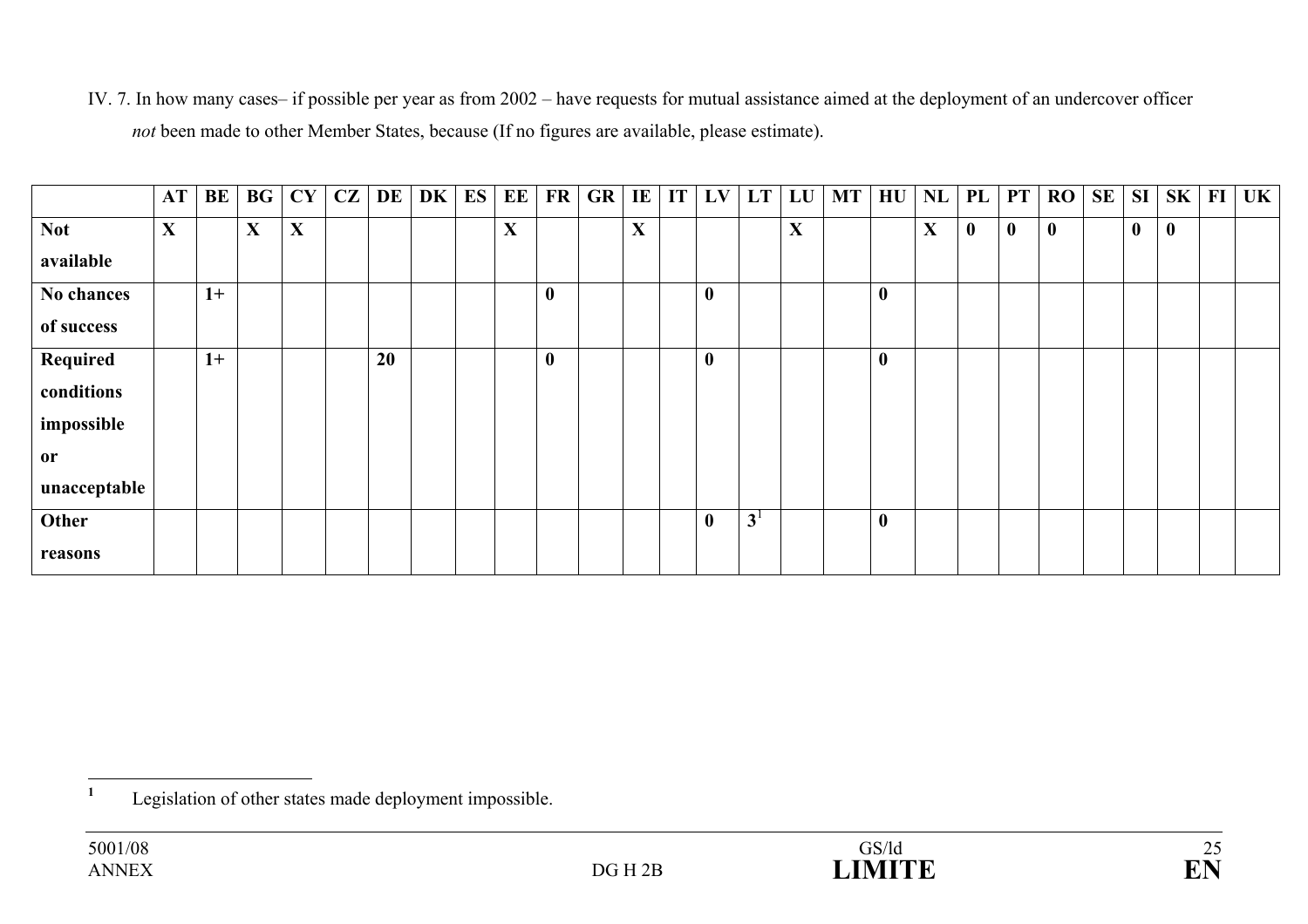IV. 7. In how many cases– if possible per year as from 2002 – have requests for mutual assistance aimed at the deployment of an undercover officer *not* been made to other Member States, because (If no figures are available, please estimate).

|              | AT          | BE   | BG          | <b>CY</b> | CZ | DE | DK | ES | EE | <b>FR</b> | GR | IE           | IT | LV          | LT LU          |             | $\blacksquare$ | $H\mathrm{U}$ | NL | PL       | <b>PT</b>        | $\bf{RO}$ | SE | SI               | $SK$   FI | UK |
|--------------|-------------|------|-------------|-----------|----|----|----|----|----|-----------|----|--------------|----|-------------|----------------|-------------|----------------|---------------|----|----------|------------------|-----------|----|------------------|-----------|----|
| <b>Not</b>   | $\mathbf X$ |      | $\mathbf X$ | X         |    |    |    |    | X  |           |    | $\mathbf{X}$ |    |             |                | $\mathbf X$ |                |               | X  | $\bf{0}$ | $\boldsymbol{0}$ | $\bf{0}$  |    | $\boldsymbol{0}$ | $\bf{0}$  |    |
| available    |             |      |             |           |    |    |    |    |    |           |    |              |    |             |                |             |                |               |    |          |                  |           |    |                  |           |    |
| No chances   |             | $1+$ |             |           |    |    |    |    |    | $\bf{0}$  |    |              |    | $\mathbf 0$ |                |             |                | $\mathbf{0}$  |    |          |                  |           |    |                  |           |    |
| of success   |             |      |             |           |    |    |    |    |    |           |    |              |    |             |                |             |                |               |    |          |                  |           |    |                  |           |    |
| Required     |             | $1+$ |             |           |    | 20 |    |    |    | $\bf{0}$  |    |              |    | $\mathbf 0$ |                |             |                | $\mathbf{0}$  |    |          |                  |           |    |                  |           |    |
| conditions   |             |      |             |           |    |    |    |    |    |           |    |              |    |             |                |             |                |               |    |          |                  |           |    |                  |           |    |
| impossible   |             |      |             |           |    |    |    |    |    |           |    |              |    |             |                |             |                |               |    |          |                  |           |    |                  |           |    |
| or           |             |      |             |           |    |    |    |    |    |           |    |              |    |             |                |             |                |               |    |          |                  |           |    |                  |           |    |
| unacceptable |             |      |             |           |    |    |    |    |    |           |    |              |    |             |                |             |                |               |    |          |                  |           |    |                  |           |    |
| Other        |             |      |             |           |    |    |    |    |    |           |    |              |    | $\mathbf 0$ | 3 <sup>1</sup> |             |                | $\bf{0}$      |    |          |                  |           |    |                  |           |    |
| reasons      |             |      |             |           |    |    |    |    |    |           |    |              |    |             |                |             |                |               |    |          |                  |           |    |                  |           |    |



**<sup>1</sup>** Legislation of other states made deployment impossible.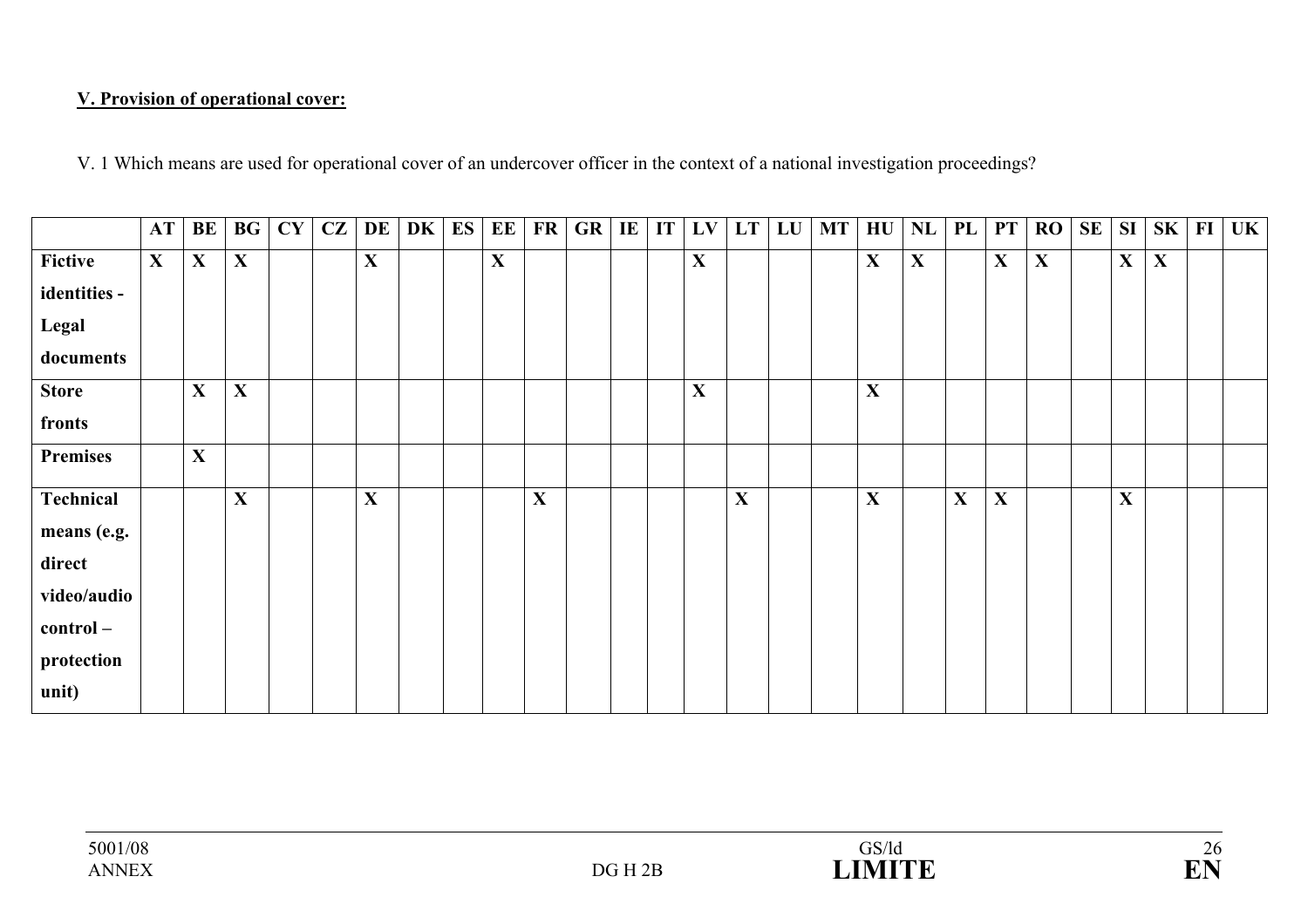### **V. Provision of operational cover:**

V. 1 Which means are used for operational cover of an undercover officer in the context of a national investigation proceedings?

|                 | AT | BE           | BG           | CY | CZ | DE          | DK | ES | EE          | <b>FR</b>   | GR | IE | IT | LV          | <b>LT</b> | LU | MT | HU           | NL          | PL          | <b>PT</b>   | RO          | <b>SE</b> | <b>SI</b>    | $SK$ FI     | <b>UK</b> |
|-----------------|----|--------------|--------------|----|----|-------------|----|----|-------------|-------------|----|----|----|-------------|-----------|----|----|--------------|-------------|-------------|-------------|-------------|-----------|--------------|-------------|-----------|
| Fictive         | X  | $\mathbf{X}$ | $\mathbf{X}$ |    |    | $\mathbf X$ |    |    | $\mathbf X$ |             |    |    |    | $\mathbf X$ |           |    |    | $\mathbf{X}$ | $\mathbf X$ |             | $\mathbf X$ | $\mathbf X$ |           | $\mathbf{X}$ | $\mathbf X$ |           |
| identities -    |    |              |              |    |    |             |    |    |             |             |    |    |    |             |           |    |    |              |             |             |             |             |           |              |             |           |
| Legal           |    |              |              |    |    |             |    |    |             |             |    |    |    |             |           |    |    |              |             |             |             |             |           |              |             |           |
| documents       |    |              |              |    |    |             |    |    |             |             |    |    |    |             |           |    |    |              |             |             |             |             |           |              |             |           |
| <b>Store</b>    |    | $\mathbf{X}$ | X            |    |    |             |    |    |             |             |    |    |    | $\mathbf X$ |           |    |    | $\mathbf X$  |             |             |             |             |           |              |             |           |
| fronts          |    |              |              |    |    |             |    |    |             |             |    |    |    |             |           |    |    |              |             |             |             |             |           |              |             |           |
| <b>Premises</b> |    | $\mathbf X$  |              |    |    |             |    |    |             |             |    |    |    |             |           |    |    |              |             |             |             |             |           |              |             |           |
| Technical       |    |              | $\mathbf X$  |    |    | X           |    |    |             | $\mathbf X$ |    |    |    |             | X         |    |    | $\mathbf{X}$ |             | $\mathbf X$ | X           |             |           | $\mathbf X$  |             |           |
| means (e.g.     |    |              |              |    |    |             |    |    |             |             |    |    |    |             |           |    |    |              |             |             |             |             |           |              |             |           |
| direct          |    |              |              |    |    |             |    |    |             |             |    |    |    |             |           |    |    |              |             |             |             |             |           |              |             |           |
| video/audio     |    |              |              |    |    |             |    |    |             |             |    |    |    |             |           |    |    |              |             |             |             |             |           |              |             |           |
| control-        |    |              |              |    |    |             |    |    |             |             |    |    |    |             |           |    |    |              |             |             |             |             |           |              |             |           |
| protection      |    |              |              |    |    |             |    |    |             |             |    |    |    |             |           |    |    |              |             |             |             |             |           |              |             |           |
| unit)           |    |              |              |    |    |             |    |    |             |             |    |    |    |             |           |    |    |              |             |             |             |             |           |              |             |           |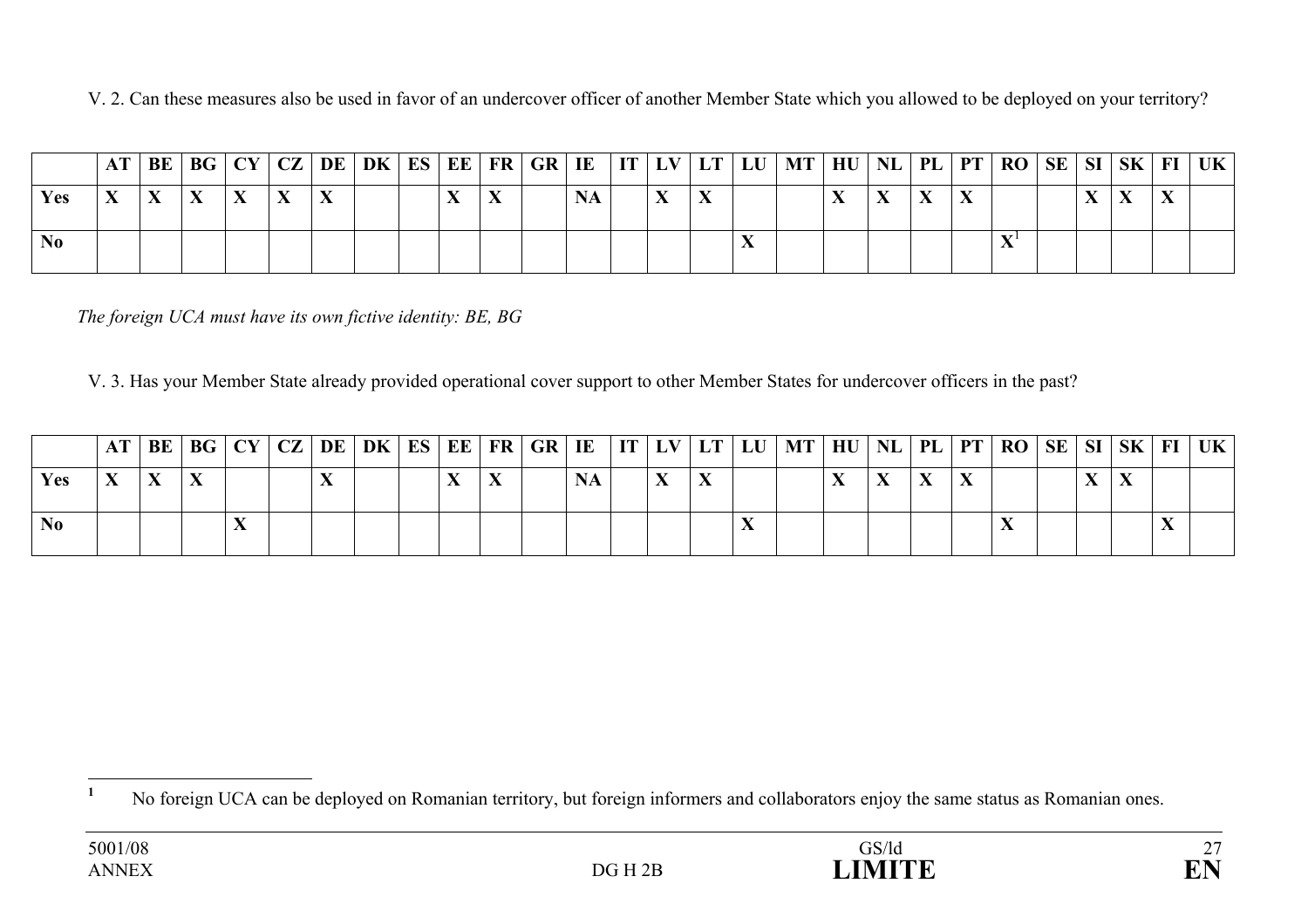V. 2. Can these measures also be used in favor of an undercover officer of another Member State which you allowed to be deployed on your territory?

|                |  |           |  |  |  |  |  |  | AT   BE   BG   CY   CZ   DE   DK   ES   EE   FR   GR   IE   IT   LV   LT   LU   MT   HU   NL   PL   PT   RO   SE   SI   SK   FI   UK |  |  |  |  |  |
|----------------|--|-----------|--|--|--|--|--|--|--------------------------------------------------------------------------------------------------------------------------------------|--|--|--|--|--|
| <b>Yes</b>     |  | $\Lambda$ |  |  |  |  |  |  |                                                                                                                                      |  |  |  |  |  |
| N <sub>0</sub> |  |           |  |  |  |  |  |  |                                                                                                                                      |  |  |  |  |  |

*The foreign UCA must have its own fictive identity: BE, BG*

V. 3. Has your Member State already provided operational cover support to other Member States for undercover officers in the past?

|     |  |  |  |  |  |  |  |  | $AT BE BG CY CZ DE DK ES EE FR GR IE IT LV LT LU MT HU NL PL PT RO SE SI SK FI UK $ |  |  |  |  |  |
|-----|--|--|--|--|--|--|--|--|-------------------------------------------------------------------------------------|--|--|--|--|--|
| Yes |  |  |  |  |  |  |  |  |                                                                                     |  |  |  |  |  |
| No  |  |  |  |  |  |  |  |  |                                                                                     |  |  |  |  |  |

<sup>&</sup>lt;sup>1</sup> No foreign UCA can be deployed on Romanian territory, but foreign informers and collaborators enjoy the same status as Romanian ones.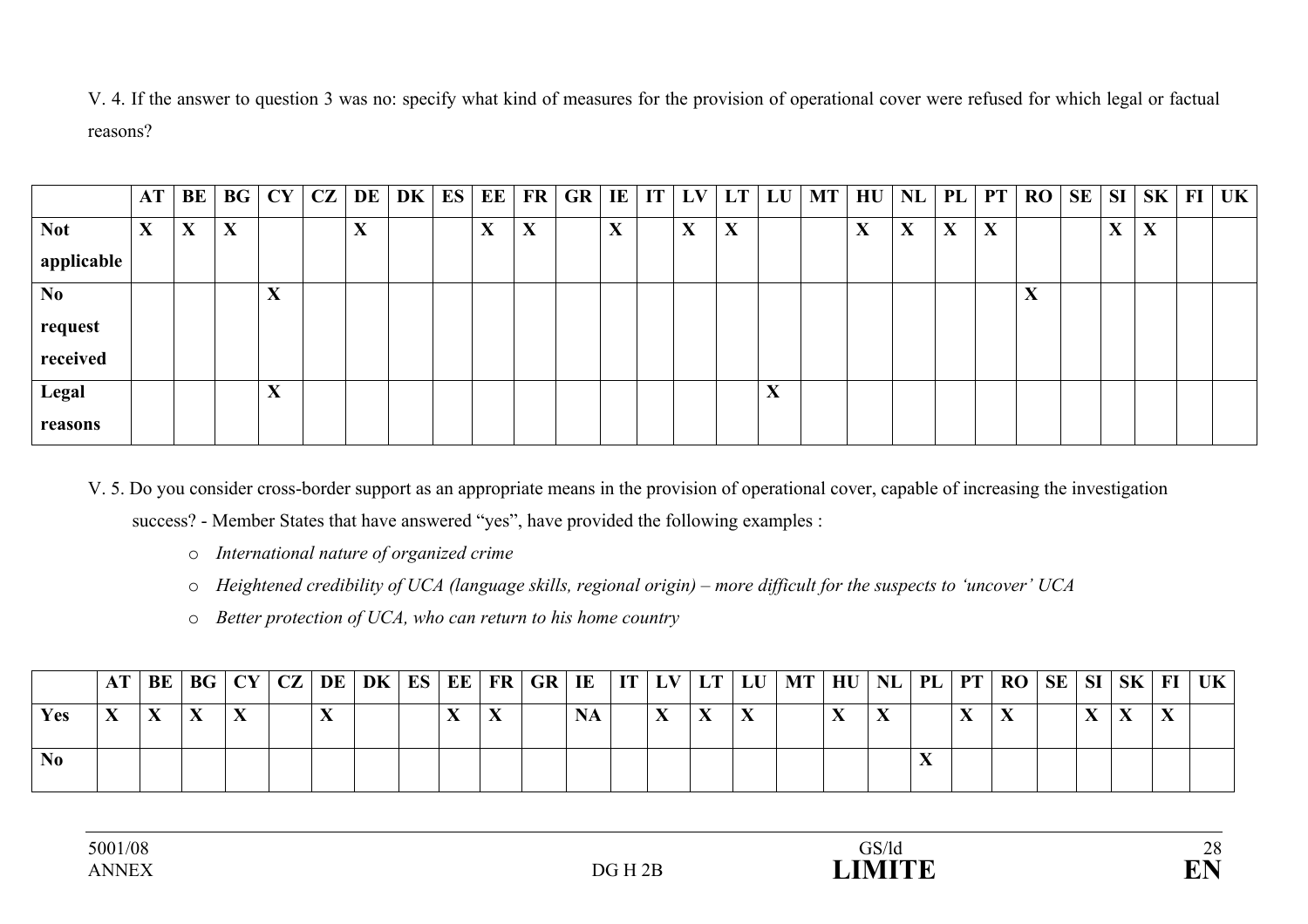V. 4. If the answer to question 3 was no: specify what kind of measures for the provision of operational cover were refused for which legal or factual reasons?

|                | AT | BE                                     | BG          | CY                | CZ | DE                        | DK | ES | EE                                     | FR | <b>GR</b> | E                                     | IT | LV | LT | LU                           | <b>MT</b> | HU | NL | PL                           | PT | <b>RO</b>                              | SE | SI | <b>SK</b> | $\mathbf{FI}$ | <b>UK</b> |
|----------------|----|----------------------------------------|-------------|-------------------|----|---------------------------|----|----|----------------------------------------|----|-----------|---------------------------------------|----|----|----|------------------------------|-----------|----|----|------------------------------|----|----------------------------------------|----|----|-----------|---------------|-----------|
| <b>Not</b>     | X  | $\mathbf{v}$<br>$\boldsymbol{\Lambda}$ | $\mathbf X$ |                   |    | $\mathbf{v}$<br>$\Lambda$ |    |    | $\mathbf{v}$<br>$\boldsymbol{\Lambda}$ | X  |           | $\mathbf v$<br>$\boldsymbol{\Lambda}$ |    | X  | X  |                              |           | X  | X  | $\mathbf{v}$<br>$\mathbf{A}$ | X  |                                        |    | X  | X         |               |           |
| applicable     |    |                                        |             |                   |    |                           |    |    |                                        |    |           |                                       |    |    |    |                              |           |    |    |                              |    |                                        |    |    |           |               |           |
| N <sub>0</sub> |    |                                        |             | X                 |    |                           |    |    |                                        |    |           |                                       |    |    |    |                              |           |    |    |                              |    | $\mathbf{v}$<br>$\boldsymbol{\Lambda}$ |    |    |           |               |           |
| request        |    |                                        |             |                   |    |                           |    |    |                                        |    |           |                                       |    |    |    |                              |           |    |    |                              |    |                                        |    |    |           |               |           |
| received       |    |                                        |             |                   |    |                           |    |    |                                        |    |           |                                       |    |    |    |                              |           |    |    |                              |    |                                        |    |    |           |               |           |
| Legal          |    |                                        |             | $\mathbf{v}$<br>A |    |                           |    |    |                                        |    |           |                                       |    |    |    | $\overline{\mathbf{x}}$<br>л |           |    |    |                              |    |                                        |    |    |           |               |           |
| reasons        |    |                                        |             |                   |    |                           |    |    |                                        |    |           |                                       |    |    |    |                              |           |    |    |                              |    |                                        |    |    |           |               |           |

V. 5. Do you consider cross-border support as an appropriate means in the provision of operational cover, capable of increasing the investigation

success? - Member States that have answered "yes", have provided the following examples :

- o *International nature of organized crime*
- o *Heightened credibility of UCA (language skills, regional origin) more difficult for the suspects to 'uncover' UCA*
- o *Better protection of UCA, who can return to his home country*

|     |  |  |  |  |  |  |  |  | AT   BE   BG   CY   CZ   DE   DK   ES   EE   FR   GR   IE     IT   LV   LT   LU   MT   HU   NL   PL   PT   RO   SE   SI   SK   FI   UK |  |  |  |  |  |
|-----|--|--|--|--|--|--|--|--|----------------------------------------------------------------------------------------------------------------------------------------|--|--|--|--|--|
| Yes |  |  |  |  |  |  |  |  |                                                                                                                                        |  |  |  |  |  |
|     |  |  |  |  |  |  |  |  |                                                                                                                                        |  |  |  |  |  |

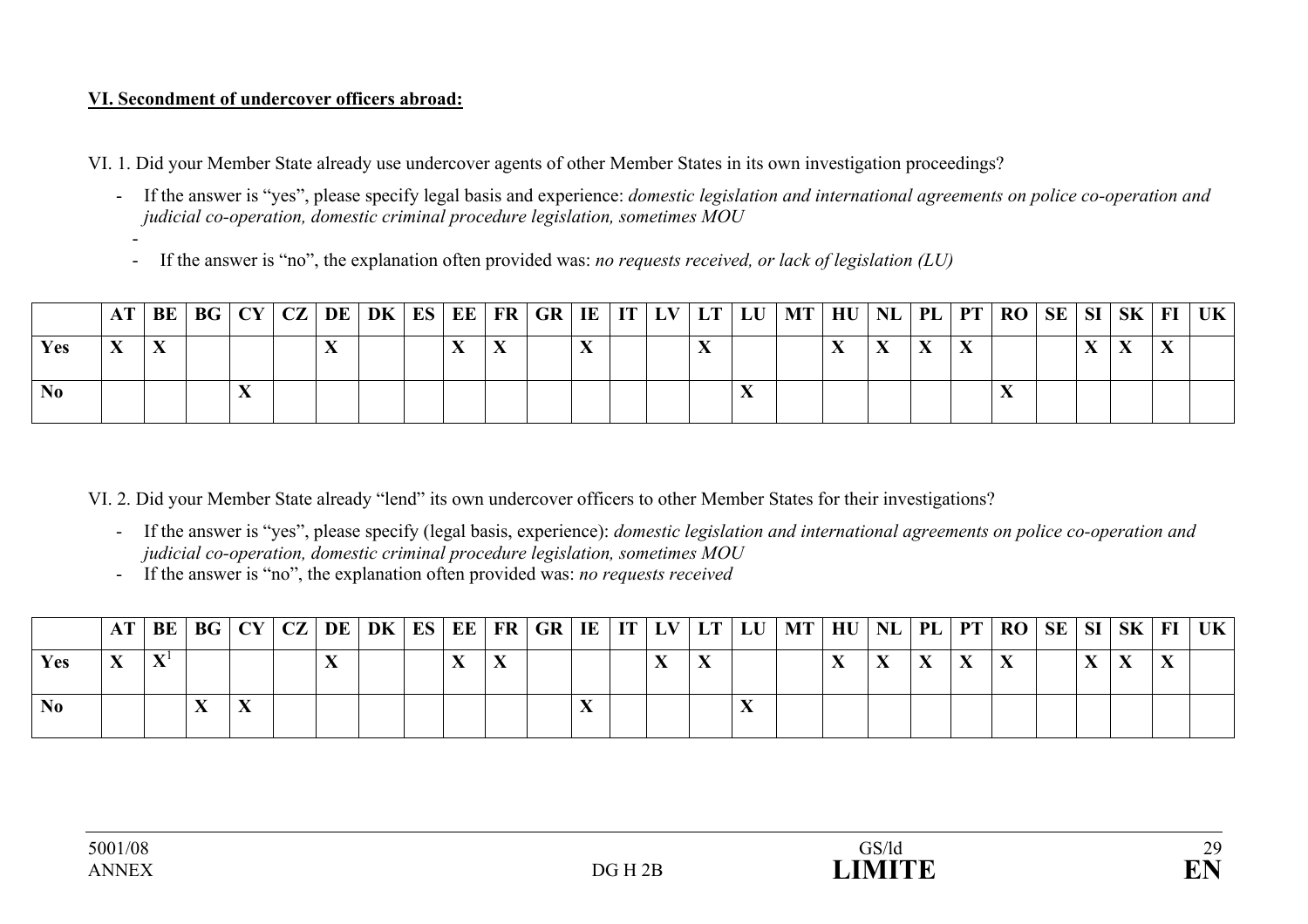### **VI. Secondment of undercover officers abroad:**

VI. 1. Did your Member State already use undercover agents of other Member States in its own investigation proceedings?

- If the answer is "yes", please specify legal basis and experience: *domestic legislation and international agreements on police co-operation and judicial co-operation, domestic criminal procedure legislation, sometimes MOU* 
	- If the answer is "no", the explanation often provided was: *no requests received, or lack of legislation (LU)*

|                |              |  |  |  |           |  |  |  | AT   BE   BG   CY   CZ   DE   DK   ES   EE   FR   GR   IE   IT   LV   LT   LU   MT   HU |  |  | NL   PL   PT   RO   SE   SI   SK   FI   UK |  |  |  |
|----------------|--------------|--|--|--|-----------|--|--|--|-----------------------------------------------------------------------------------------|--|--|--------------------------------------------|--|--|--|
| <b>Yes</b>     | $\mathbf{v}$ |  |  |  | $\lambda$ |  |  |  |                                                                                         |  |  |                                            |  |  |  |
| N <sub>0</sub> |              |  |  |  |           |  |  |  |                                                                                         |  |  |                                            |  |  |  |

VI. 2. Did your Member State already "lend" its own undercover officers to other Member States for their investigations?

- If the answer is "yes", please specify (legal basis, experience): *domestic legislation and international agreements on police co-operation and judicial co-operation, domestic criminal procedure legislation, sometimes MOU*
- If the answer is "no", the explanation often provided was: *no requests received*

|      |  |  |  |  |  |  |  |  | AT   BE   BG   CY   CZ   DE   DK   ES   EE   FR   GR   IE   IT   LV   LT   LU   MT   HU   NL   PL   PT   RO   SE   SI   SK   FI   UK |  |  |  |  |  |
|------|--|--|--|--|--|--|--|--|--------------------------------------------------------------------------------------------------------------------------------------|--|--|--|--|--|
| Y es |  |  |  |  |  |  |  |  |                                                                                                                                      |  |  |  |  |  |
|      |  |  |  |  |  |  |  |  |                                                                                                                                      |  |  |  |  |  |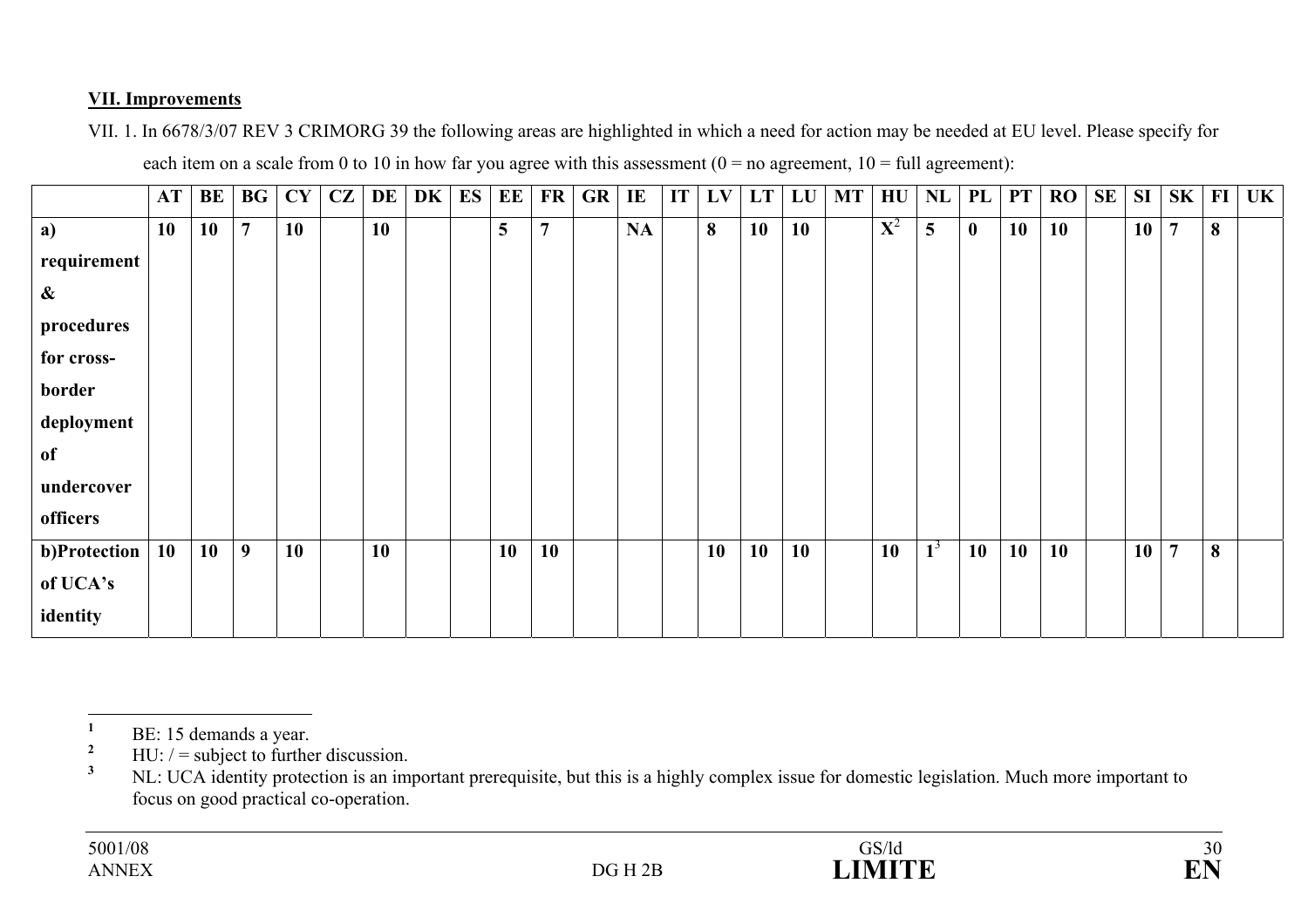### **VII. Improvements**

VII. 1. In 6678/3/07 REV 3 CRIMORG 39 the following areas are highlighted in which a need for action may be needed at EU level. Please specify for each item on a scale from 0 to 10 in how far you agree with this assessment  $(0 = no$  agreement,  $10 = full$  agreement):

|                   | AT | BE        | $\mathbf{B}\mathbf{G}$ | CY | CZ | DE        | DK | ES | EE | FR             | GR | IE | IT <sub>1</sub> | LV | LT | LU | <b>MT</b> | HU          | NL    | PL           | <b>PT</b> | RO | <b>SE</b> | SI | SK             | $FI$ | UK |
|-------------------|----|-----------|------------------------|----|----|-----------|----|----|----|----------------|----|----|-----------------|----|----|----|-----------|-------------|-------|--------------|-----------|----|-----------|----|----------------|------|----|
| a)                | 10 | <b>10</b> | $\overline{7}$         | 10 |    | <b>10</b> |    |    | 5  | $\overline{7}$ |    | NA |                 | 8  | 10 | 10 |           | ${\bf X}^2$ | 5     | $\mathbf{0}$ | 10        | 10 |           | 10 | $\overline{7}$ | 8    |    |
| requirement       |    |           |                        |    |    |           |    |    |    |                |    |    |                 |    |    |    |           |             |       |              |           |    |           |    |                |      |    |
| $\boldsymbol{\&}$ |    |           |                        |    |    |           |    |    |    |                |    |    |                 |    |    |    |           |             |       |              |           |    |           |    |                |      |    |
| procedures        |    |           |                        |    |    |           |    |    |    |                |    |    |                 |    |    |    |           |             |       |              |           |    |           |    |                |      |    |
| for cross-        |    |           |                        |    |    |           |    |    |    |                |    |    |                 |    |    |    |           |             |       |              |           |    |           |    |                |      |    |
| border            |    |           |                        |    |    |           |    |    |    |                |    |    |                 |    |    |    |           |             |       |              |           |    |           |    |                |      |    |
| deployment        |    |           |                        |    |    |           |    |    |    |                |    |    |                 |    |    |    |           |             |       |              |           |    |           |    |                |      |    |
| of                |    |           |                        |    |    |           |    |    |    |                |    |    |                 |    |    |    |           |             |       |              |           |    |           |    |                |      |    |
| undercover        |    |           |                        |    |    |           |    |    |    |                |    |    |                 |    |    |    |           |             |       |              |           |    |           |    |                |      |    |
| officers          |    |           |                        |    |    |           |    |    |    |                |    |    |                 |    |    |    |           |             |       |              |           |    |           |    |                |      |    |
| b)Protection      | 10 | 10        | 9                      | 10 |    | 10        |    |    | 10 | 10             |    |    |                 | 10 | 10 | 10 |           | 10          | $1^3$ | 10           | 10        | 10 |           | 10 | $\overline{7}$ | 8    |    |
| of UCA's          |    |           |                        |    |    |           |    |    |    |                |    |    |                 |    |    |    |           |             |       |              |           |    |           |    |                |      |    |
| identity          |    |           |                        |    |    |           |    |    |    |                |    |    |                 |    |    |    |           |             |       |              |           |    |           |    |                |      |    |

 $\frac{1}{2}$  BE: 15 demands a year.

<sup>&</sup>lt;sup>2</sup> HU:  $/$  = subject to further discussion.

**<sup>3</sup>** NL: UCA identity protection is an important prerequisite, but this is a highly complex issue for domestic legislation. Much more important to focus on good practical co-operation.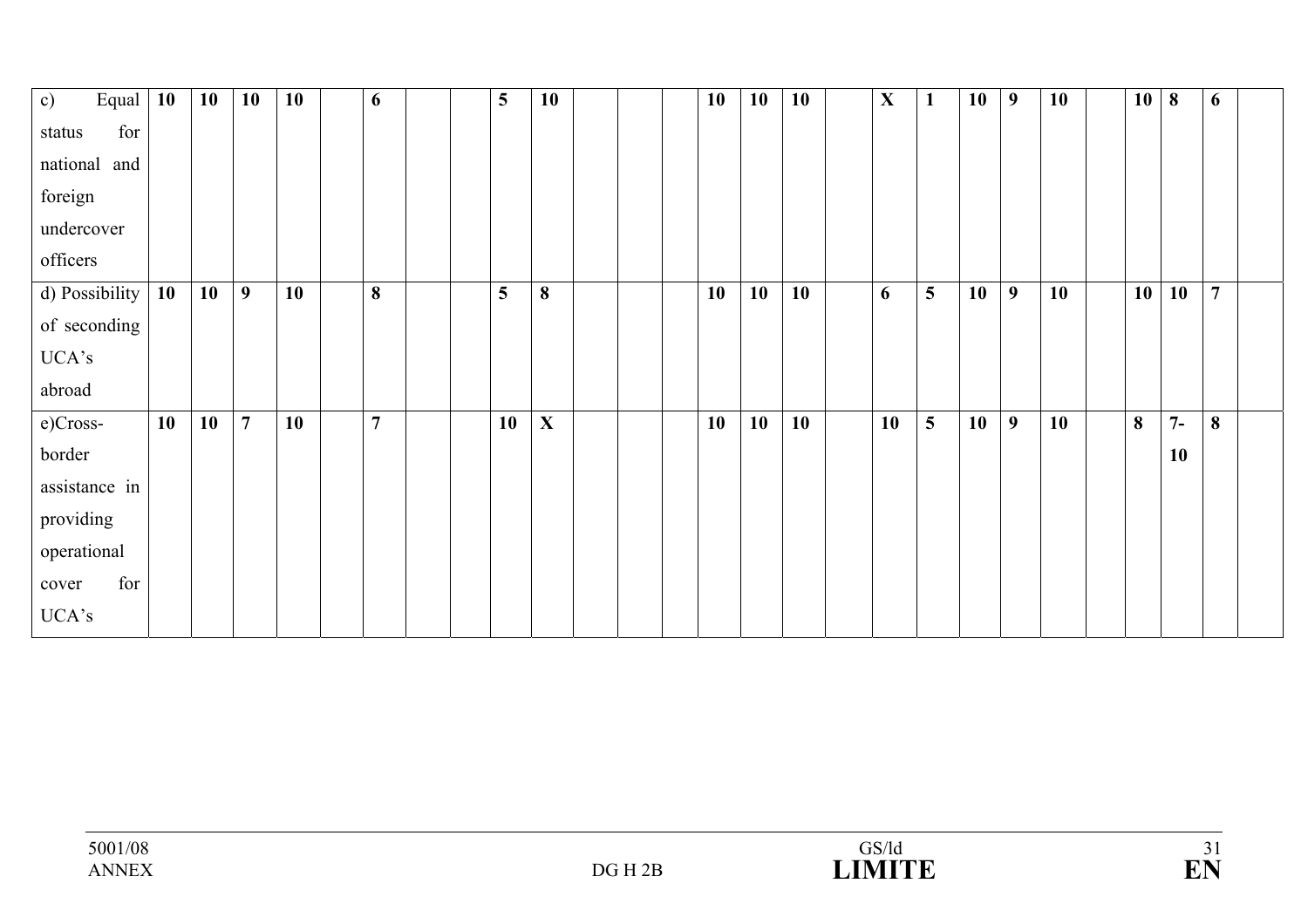| Equal<br>c)     | <b>10</b> | 10 | 10             | 10 | 6              |  | $5\phantom{.0}$ | 10          |  | 10 | 10 | 10 | $\mathbf X$ | $\mathbf{1}$ | 10 | $\overline{9}$ | 10 | 10 | 8         | 6              |  |
|-----------------|-----------|----|----------------|----|----------------|--|-----------------|-------------|--|----|----|----|-------------|--------------|----|----------------|----|----|-----------|----------------|--|
| for<br>status   |           |    |                |    |                |  |                 |             |  |    |    |    |             |              |    |                |    |    |           |                |  |
| national<br>and |           |    |                |    |                |  |                 |             |  |    |    |    |             |              |    |                |    |    |           |                |  |
| foreign         |           |    |                |    |                |  |                 |             |  |    |    |    |             |              |    |                |    |    |           |                |  |
| undercover      |           |    |                |    |                |  |                 |             |  |    |    |    |             |              |    |                |    |    |           |                |  |
| officers        |           |    |                |    |                |  |                 |             |  |    |    |    |             |              |    |                |    |    |           |                |  |
| d) Possibility  | 10        | 10 | 9              | 10 | 8              |  | 5               | 8           |  | 10 | 10 | 10 | 6           | 5            | 10 | 9              | 10 | 10 | 10        | $\overline{7}$ |  |
| of seconding    |           |    |                |    |                |  |                 |             |  |    |    |    |             |              |    |                |    |    |           |                |  |
| UCA's           |           |    |                |    |                |  |                 |             |  |    |    |    |             |              |    |                |    |    |           |                |  |
| abroad          |           |    |                |    |                |  |                 |             |  |    |    |    |             |              |    |                |    |    |           |                |  |
| e)Cross-        | 10        | 10 | $\overline{7}$ | 10 | $\overline{7}$ |  | 10              | $\mathbf X$ |  | 10 | 10 | 10 | 10          | 5            | 10 | 9              | 10 | 8  | $7-$      | 8              |  |
| border          |           |    |                |    |                |  |                 |             |  |    |    |    |             |              |    |                |    |    | <b>10</b> |                |  |
| assistance in   |           |    |                |    |                |  |                 |             |  |    |    |    |             |              |    |                |    |    |           |                |  |
| providing       |           |    |                |    |                |  |                 |             |  |    |    |    |             |              |    |                |    |    |           |                |  |
| operational     |           |    |                |    |                |  |                 |             |  |    |    |    |             |              |    |                |    |    |           |                |  |
| for<br>cover    |           |    |                |    |                |  |                 |             |  |    |    |    |             |              |    |                |    |    |           |                |  |
| UCA's           |           |    |                |    |                |  |                 |             |  |    |    |    |             |              |    |                |    |    |           |                |  |

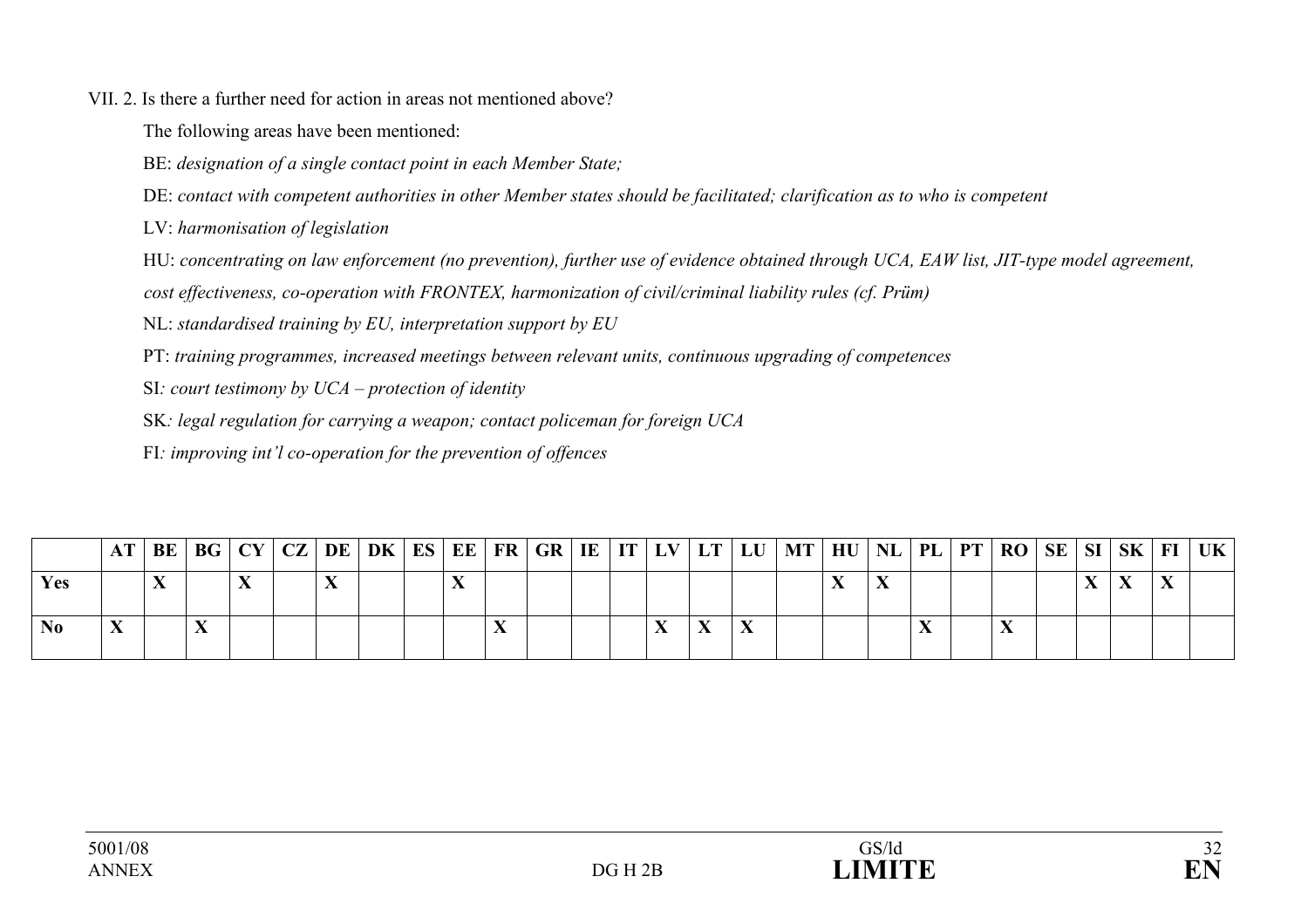#### VII. 2. Is there a further need for action in areas not mentioned above?

The following areas have been mentioned:

BE: *designation of a single contact point in each Member State;* 

DE: *contact with competent authorities in other Member states should be facilitated; clarification as to who is competent* 

LV: *harmonisation of legislation* 

HU: *concentrating on law enforcement (no prevention), further use of evidence obtained through UCA, EAW list, JIT-type model agreement,* 

*cost effectiveness, co-operation with FRONTEX, harmonization of civil/criminal liability rules (cf. Prüm)* 

NL: *standardised training by EU, interpretation support by EU* 

PT: *training programmes, increased meetings between relevant units, continuous upgrading of competences* 

SI*: court testimony by UCA – protection of identity* 

SK*: legal regulation for carrying a weapon; contact policeman for foreign UCA* 

FI*: improving int'l co-operation for the prevention of offences* 

|      |  |  |  |  |  |  |   |  | AT   BE   BG   CY   CZ   DE   DK   ES   EE   FR   GR   IE   IT   LV   LT   LU   MT   HU   NL   PL   PT   RO   SE   SI   SK   FI   UK |  |  |  |  |  |
|------|--|--|--|--|--|--|---|--|--------------------------------------------------------------------------------------------------------------------------------------|--|--|--|--|--|
| Yes. |  |  |  |  |  |  |   |  |                                                                                                                                      |  |  |  |  |  |
| No.  |  |  |  |  |  |  | ┳ |  |                                                                                                                                      |  |  |  |  |  |